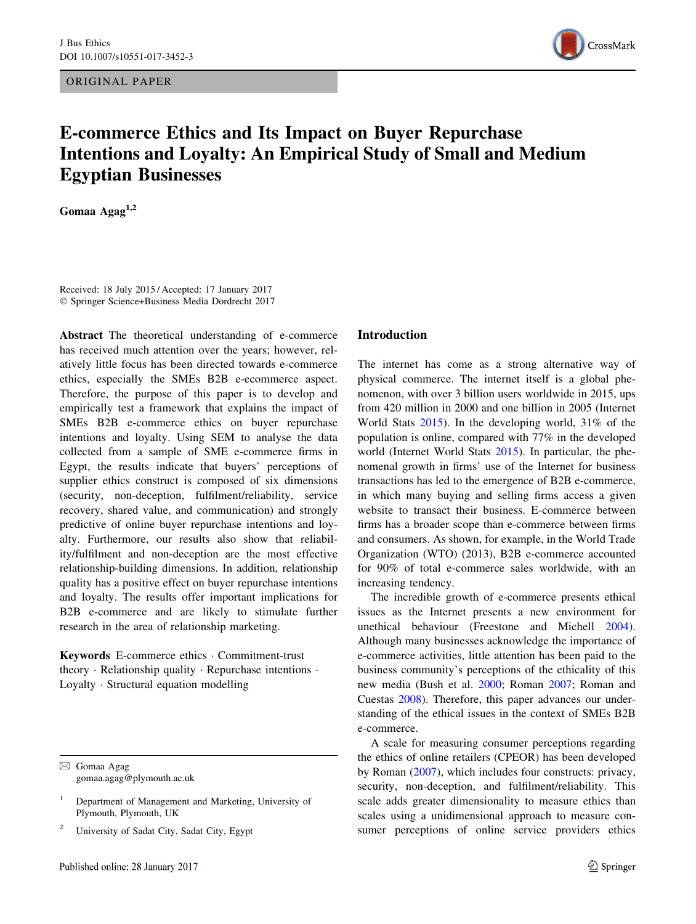ORIGINAL PAPER



# E-commerce Ethics and Its Impact on Buyer Repurchase Intentions and Loyalty: An Empirical Study of Small and Medium Egyptian Businesses

Gomaa Agag1,2

Received: 18 July 2015 / Accepted: 17 January 2017 - Springer Science+Business Media Dordrecht 2017

Abstract The theoretical understanding of e-commerce has received much attention over the years; however, relatively little focus has been directed towards e-commerce ethics, especially the SMEs B2B e-ecommerce aspect. Therefore, the purpose of this paper is to develop and empirically test a framework that explains the impact of SMEs B2B e-commerce ethics on buyer repurchase intentions and loyalty. Using SEM to analyse the data collected from a sample of SME e-commerce firms in Egypt, the results indicate that buyers' perceptions of supplier ethics construct is composed of six dimensions (security, non-deception, fulfilment/reliability, service recovery, shared value, and communication) and strongly predictive of online buyer repurchase intentions and loyalty. Furthermore, our results also show that reliability/fulfilment and non-deception are the most effective relationship-building dimensions. In addition, relationship quality has a positive effect on buyer repurchase intentions and loyalty. The results offer important implications for B2B e-commerce and are likely to stimulate further research in the area of relationship marketing.

Keywords E-commerce ethics - Commitment-trust theory - Relationship quality - Repurchase intentions - Loyalty - Structural equation modelling

 $\boxtimes$  Gomaa Agag gomaa.agag@plymouth.ac.uk

<sup>2</sup> University of Sadat City, Sadat City, Egypt

#### Introduction

The internet has come as a strong alternative way of physical commerce. The internet itself is a global phenomenon, with over 3 billion users worldwide in 2015, ups from 420 million in 2000 and one billion in 2005 (Internet World Stats [2015](#page-19-0)). In the developing world, 31% of the population is online, compared with 77% in the developed world (Internet World Stats [2015](#page-19-0)). In particular, the phenomenal growth in firms' use of the Internet for business transactions has led to the emergence of B2B e-commerce, in which many buying and selling firms access a given website to transact their business. E-commerce between firms has a broader scope than e-commerce between firms and consumers. As shown, for example, in the World Trade Organization (WTO) (2013), B2B e-commerce accounted for 90% of total e-commerce sales worldwide, with an increasing tendency.

The incredible growth of e-commerce presents ethical issues as the Internet presents a new environment for unethical behaviour (Freestone and Michell [2004](#page-19-0)). Although many businesses acknowledge the importance of e-commerce activities, little attention has been paid to the business community's perceptions of the ethicality of this new media (Bush et al. [2000](#page-18-0); Roman [2007;](#page-21-0) Roman and Cuestas [2008\)](#page-21-0). Therefore, this paper advances our understanding of the ethical issues in the context of SMEs B2B e-commerce.

A scale for measuring consumer perceptions regarding the ethics of online retailers (CPEOR) has been developed by Roman [\(2007\)](#page-21-0), which includes four constructs: privacy, security, non-deception, and fulfilment/reliability. This scale adds greater dimensionality to measure ethics than scales using a unidimensional approach to measure consumer perceptions of online service providers ethics

<sup>1</sup> Department of Management and Marketing, University of Plymouth, Plymouth, UK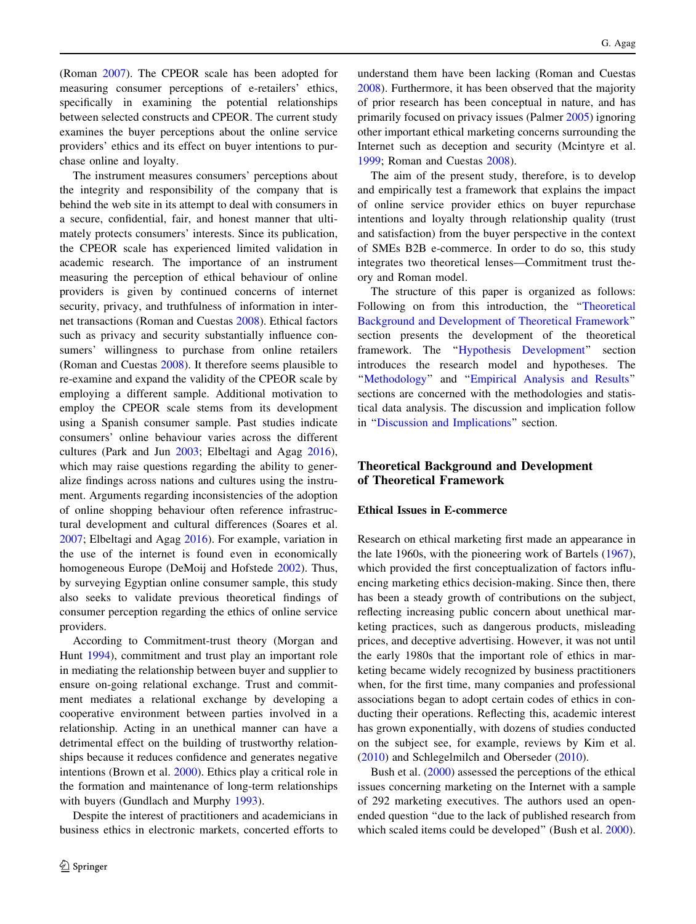(Roman [2007\)](#page-21-0). The CPEOR scale has been adopted for measuring consumer perceptions of e-retailers' ethics, specifically in examining the potential relationships between selected constructs and CPEOR. The current study examines the buyer perceptions about the online service providers' ethics and its effect on buyer intentions to purchase online and loyalty.

The instrument measures consumers' perceptions about the integrity and responsibility of the company that is behind the web site in its attempt to deal with consumers in a secure, confidential, fair, and honest manner that ultimately protects consumers' interests. Since its publication, the CPEOR scale has experienced limited validation in academic research. The importance of an instrument measuring the perception of ethical behaviour of online providers is given by continued concerns of internet security, privacy, and truthfulness of information in internet transactions (Roman and Cuestas [2008](#page-21-0)). Ethical factors such as privacy and security substantially influence consumers' willingness to purchase from online retailers (Roman and Cuestas [2008\)](#page-21-0). It therefore seems plausible to re-examine and expand the validity of the CPEOR scale by employing a different sample. Additional motivation to employ the CPEOR scale stems from its development using a Spanish consumer sample. Past studies indicate consumers' online behaviour varies across the different cultures (Park and Jun [2003](#page-20-0); Elbeltagi and Agag [2016](#page-19-0)), which may raise questions regarding the ability to generalize findings across nations and cultures using the instrument. Arguments regarding inconsistencies of the adoption of online shopping behaviour often reference infrastructural development and cultural differences (Soares et al. [2007;](#page-21-0) Elbeltagi and Agag [2016\)](#page-19-0). For example, variation in the use of the internet is found even in economically homogeneous Europe (DeMoij and Hofstede [2002](#page-19-0)). Thus, by surveying Egyptian online consumer sample, this study also seeks to validate previous theoretical findings of consumer perception regarding the ethics of online service providers.

According to Commitment-trust theory (Morgan and Hunt [1994](#page-20-0)), commitment and trust play an important role in mediating the relationship between buyer and supplier to ensure on-going relational exchange. Trust and commitment mediates a relational exchange by developing a cooperative environment between parties involved in a relationship. Acting in an unethical manner can have a detrimental effect on the building of trustworthy relationships because it reduces confidence and generates negative intentions (Brown et al. [2000\)](#page-18-0). Ethics play a critical role in the formation and maintenance of long-term relationships with buyers (Gundlach and Murphy [1993\)](#page-19-0).

Despite the interest of practitioners and academicians in business ethics in electronic markets, concerted efforts to

understand them have been lacking (Roman and Cuestas [2008](#page-21-0)). Furthermore, it has been observed that the majority of prior research has been conceptual in nature, and has primarily focused on privacy issues (Palmer [2005\)](#page-20-0) ignoring other important ethical marketing concerns surrounding the Internet such as deception and security (Mcintyre et al. [1999](#page-20-0); Roman and Cuestas [2008\)](#page-21-0).

The aim of the present study, therefore, is to develop and empirically test a framework that explains the impact of online service provider ethics on buyer repurchase intentions and loyalty through relationship quality (trust and satisfaction) from the buyer perspective in the context of SMEs B2B e-commerce. In order to do so, this study integrates two theoretical lenses—Commitment trust theory and Roman model.

The structure of this paper is organized as follows: Following on from this introduction, the ''Theoretical Background and Development of Theoretical Framework'' section presents the development of the theoretical framework. The ''[Hypothesis Development'](#page-4-0)' section introduces the research model and hypotheses. The ''[Methodology](#page-9-0)'' and ''[Empirical Analysis and Results'](#page-10-0)' sections are concerned with the methodologies and statistical data analysis. The discussion and implication follow in "Discussion and Implications" section.

# Theoretical Background and Development of Theoretical Framework

#### Ethical Issues in E-commerce

Research on ethical marketing first made an appearance in the late 1960s, with the pioneering work of Bartels [\(1967](#page-18-0)), which provided the first conceptualization of factors influencing marketing ethics decision-making. Since then, there has been a steady growth of contributions on the subject, reflecting increasing public concern about unethical marketing practices, such as dangerous products, misleading prices, and deceptive advertising. However, it was not until the early 1980s that the important role of ethics in marketing became widely recognized by business practitioners when, for the first time, many companies and professional associations began to adopt certain codes of ethics in conducting their operations. Reflecting this, academic interest has grown exponentially, with dozens of studies conducted on the subject see, for example, reviews by Kim et al. [\(2010](#page-20-0)) and Schlegelmilch and Oberseder [\(2010](#page-21-0)).

Bush et al. ([2000\)](#page-18-0) assessed the perceptions of the ethical issues concerning marketing on the Internet with a sample of 292 marketing executives. The authors used an openended question ''due to the lack of published research from which scaled items could be developed" (Bush et al. [2000](#page-18-0)).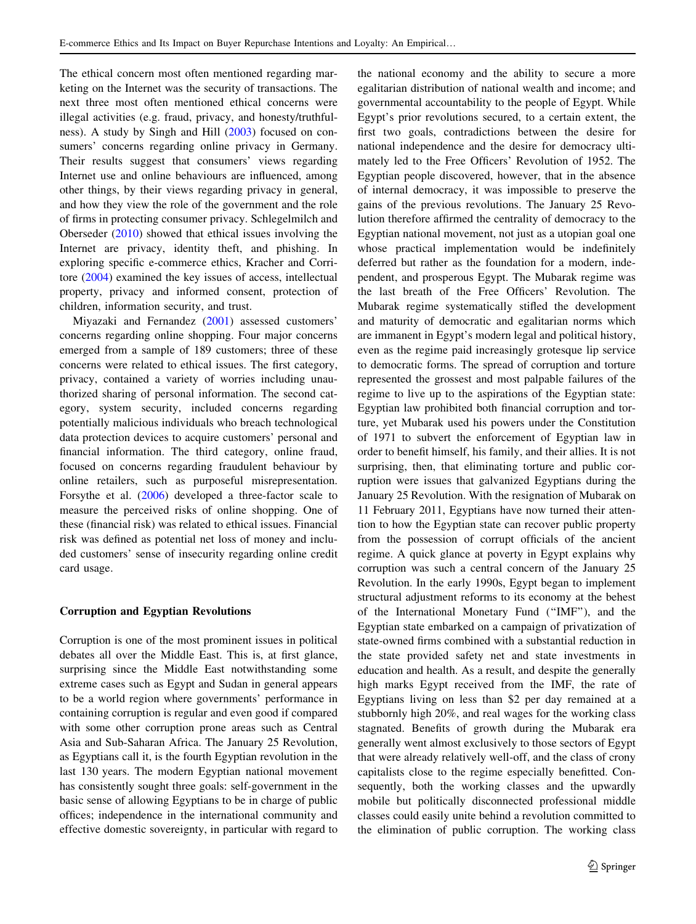The ethical concern most often mentioned regarding marketing on the Internet was the security of transactions. The next three most often mentioned ethical concerns were illegal activities (e.g. fraud, privacy, and honesty/truthfulness). A study by Singh and Hill ([2003\)](#page-21-0) focused on consumers' concerns regarding online privacy in Germany. Their results suggest that consumers' views regarding Internet use and online behaviours are influenced, among other things, by their views regarding privacy in general, and how they view the role of the government and the role of firms in protecting consumer privacy. Schlegelmilch and Oberseder ([2010\)](#page-21-0) showed that ethical issues involving the Internet are privacy, identity theft, and phishing. In exploring specific e-commerce ethics, Kracher and Corritore [\(2004](#page-20-0)) examined the key issues of access, intellectual property, privacy and informed consent, protection of children, information security, and trust.

Miyazaki and Fernandez ([2001\)](#page-20-0) assessed customers' concerns regarding online shopping. Four major concerns emerged from a sample of 189 customers; three of these concerns were related to ethical issues. The first category, privacy, contained a variety of worries including unauthorized sharing of personal information. The second category, system security, included concerns regarding potentially malicious individuals who breach technological data protection devices to acquire customers' personal and financial information. The third category, online fraud, focused on concerns regarding fraudulent behaviour by online retailers, such as purposeful misrepresentation. Forsythe et al. [\(2006\)](#page-19-0) developed a three-factor scale to measure the perceived risks of online shopping. One of these (financial risk) was related to ethical issues. Financial risk was defined as potential net loss of money and included customers' sense of insecurity regarding online credit card usage.

## Corruption and Egyptian Revolutions

Corruption is one of the most prominent issues in political debates all over the Middle East. This is, at first glance, surprising since the Middle East notwithstanding some extreme cases such as Egypt and Sudan in general appears to be a world region where governments' performance in containing corruption is regular and even good if compared with some other corruption prone areas such as Central Asia and Sub-Saharan Africa. The January 25 Revolution, as Egyptians call it, is the fourth Egyptian revolution in the last 130 years. The modern Egyptian national movement has consistently sought three goals: self-government in the basic sense of allowing Egyptians to be in charge of public offices; independence in the international community and effective domestic sovereignty, in particular with regard to

the national economy and the ability to secure a more egalitarian distribution of national wealth and income; and governmental accountability to the people of Egypt. While Egypt's prior revolutions secured, to a certain extent, the first two goals, contradictions between the desire for national independence and the desire for democracy ultimately led to the Free Officers' Revolution of 1952. The Egyptian people discovered, however, that in the absence of internal democracy, it was impossible to preserve the gains of the previous revolutions. The January 25 Revolution therefore affirmed the centrality of democracy to the Egyptian national movement, not just as a utopian goal one whose practical implementation would be indefinitely deferred but rather as the foundation for a modern, independent, and prosperous Egypt. The Mubarak regime was the last breath of the Free Officers' Revolution. The Mubarak regime systematically stifled the development and maturity of democratic and egalitarian norms which are immanent in Egypt's modern legal and political history, even as the regime paid increasingly grotesque lip service to democratic forms. The spread of corruption and torture represented the grossest and most palpable failures of the regime to live up to the aspirations of the Egyptian state: Egyptian law prohibited both financial corruption and torture, yet Mubarak used his powers under the Constitution of 1971 to subvert the enforcement of Egyptian law in order to benefit himself, his family, and their allies. It is not surprising, then, that eliminating torture and public corruption were issues that galvanized Egyptians during the January 25 Revolution. With the resignation of Mubarak on 11 February 2011, Egyptians have now turned their attention to how the Egyptian state can recover public property from the possession of corrupt officials of the ancient regime. A quick glance at poverty in Egypt explains why corruption was such a central concern of the January 25 Revolution. In the early 1990s, Egypt began to implement structural adjustment reforms to its economy at the behest of the International Monetary Fund (''IMF''), and the Egyptian state embarked on a campaign of privatization of state-owned firms combined with a substantial reduction in the state provided safety net and state investments in education and health. As a result, and despite the generally high marks Egypt received from the IMF, the rate of Egyptians living on less than \$2 per day remained at a stubbornly high 20%, and real wages for the working class stagnated. Benefits of growth during the Mubarak era generally went almost exclusively to those sectors of Egypt that were already relatively well-off, and the class of crony capitalists close to the regime especially benefitted. Consequently, both the working classes and the upwardly mobile but politically disconnected professional middle classes could easily unite behind a revolution committed to the elimination of public corruption. The working class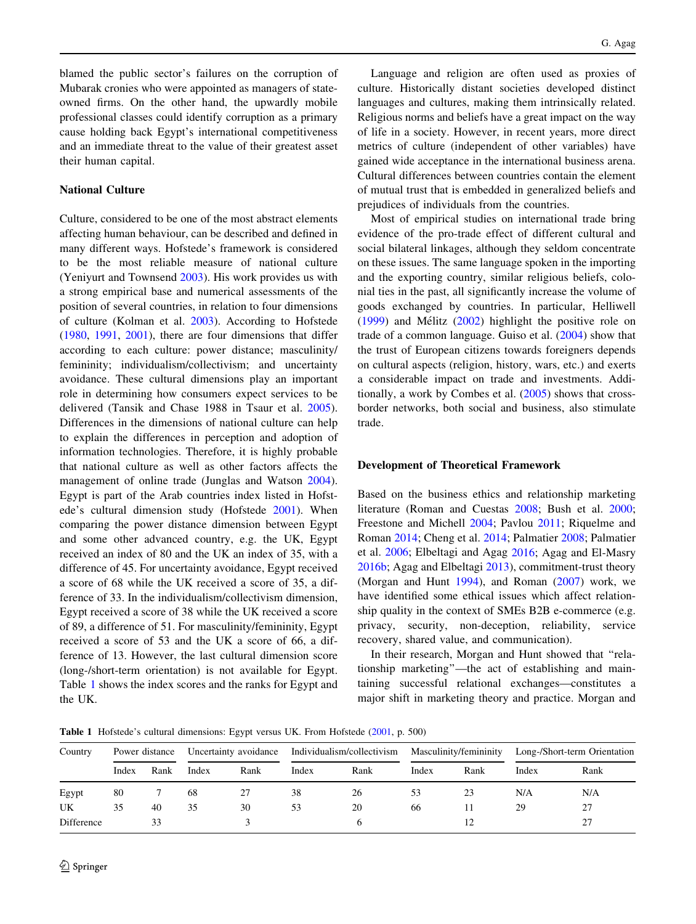blamed the public sector's failures on the corruption of Mubarak cronies who were appointed as managers of stateowned firms. On the other hand, the upwardly mobile professional classes could identify corruption as a primary cause holding back Egypt's international competitiveness and an immediate threat to the value of their greatest asset their human capital.

## National Culture

Culture, considered to be one of the most abstract elements affecting human behaviour, can be described and defined in many different ways. Hofstede's framework is considered to be the most reliable measure of national culture (Yeniyurt and Townsend [2003](#page-21-0)). His work provides us with a strong empirical base and numerical assessments of the position of several countries, in relation to four dimensions of culture (Kolman et al. [2003](#page-20-0)). According to Hofstede [\(1980](#page-19-0), [1991,](#page-19-0) [2001](#page-19-0)), there are four dimensions that differ according to each culture: power distance; masculinity/ femininity; individualism/collectivism; and uncertainty avoidance. These cultural dimensions play an important role in determining how consumers expect services to be delivered (Tansik and Chase 1988 in Tsaur et al. [2005](#page-21-0)). Differences in the dimensions of national culture can help to explain the differences in perception and adoption of information technologies. Therefore, it is highly probable that national culture as well as other factors affects the management of online trade (Junglas and Watson [2004](#page-19-0)). Egypt is part of the Arab countries index listed in Hofstede's cultural dimension study (Hofstede [2001\)](#page-19-0). When comparing the power distance dimension between Egypt and some other advanced country, e.g. the UK, Egypt received an index of 80 and the UK an index of 35, with a difference of 45. For uncertainty avoidance, Egypt received a score of 68 while the UK received a score of 35, a difference of 33. In the individualism/collectivism dimension, Egypt received a score of 38 while the UK received a score of 89, a difference of 51. For masculinity/femininity, Egypt received a score of 53 and the UK a score of 66, a difference of 13. However, the last cultural dimension score (long-/short-term orientation) is not available for Egypt. Table 1 shows the index scores and the ranks for Egypt and the UK.

Language and religion are often used as proxies of culture. Historically distant societies developed distinct languages and cultures, making them intrinsically related. Religious norms and beliefs have a great impact on the way of life in a society. However, in recent years, more direct metrics of culture (independent of other variables) have gained wide acceptance in the international business arena. Cultural differences between countries contain the element of mutual trust that is embedded in generalized beliefs and prejudices of individuals from the countries.

Most of empirical studies on international trade bring evidence of the pro-trade effect of different cultural and social bilateral linkages, although they seldom concentrate on these issues. The same language spoken in the importing and the exporting country, similar religious beliefs, colonial ties in the past, all significantly increase the volume of goods exchanged by countries. In particular, Helliwell [\(1999](#page-19-0)) and Mélitz  $(2002)$  $(2002)$  highlight the positive role on trade of a common language. Guiso et al. [\(2004](#page-19-0)) show that the trust of European citizens towards foreigners depends on cultural aspects (religion, history, wars, etc.) and exerts a considerable impact on trade and investments. Additionally, a work by Combes et al. [\(2005](#page-18-0)) shows that crossborder networks, both social and business, also stimulate trade.

#### Development of Theoretical Framework

Based on the business ethics and relationship marketing literature (Roman and Cuestas [2008;](#page-21-0) Bush et al. [2000](#page-18-0); Freestone and Michell [2004](#page-19-0); Pavlou [2011](#page-20-0); Riquelme and Roman [2014;](#page-21-0) Cheng et al. [2014;](#page-18-0) Palmatier [2008](#page-20-0); Palmatier et al. [2006;](#page-20-0) Elbeltagi and Agag [2016;](#page-19-0) Agag and El-Masry [2016b](#page-18-0); Agag and Elbeltagi [2013](#page-18-0)), commitment-trust theory (Morgan and Hunt [1994\)](#page-20-0), and Roman ([2007\)](#page-21-0) work, we have identified some ethical issues which affect relationship quality in the context of SMEs B2B e-commerce (e.g. privacy, security, non-deception, reliability, service recovery, shared value, and communication).

In their research, Morgan and Hunt showed that ''relationship marketing''—the act of establishing and maintaining successful relational exchanges—constitutes a major shift in marketing theory and practice. Morgan and

Table 1 Hofstede's cultural dimensions: Egypt versus UK. From Hofstede [\(2001](#page-19-0), p. 500)

| Country    |       | Power distance |       |      |       | Uncertainty avoidance Individualism/collectivism |       | Masculinity/femininity |       | Long-/Short-term Orientation |
|------------|-------|----------------|-------|------|-------|--------------------------------------------------|-------|------------------------|-------|------------------------------|
|            | Index | Rank           | Index | Rank | Index | Rank                                             | Index | Rank                   | Index | Rank                         |
| Egypt      | 80    |                | 68    | 27   | 38    | 26                                               | 53    | 23                     | N/A   | N/A                          |
| UK         | 35    | 40             | 35    | 30   | 53    | 20                                               | 66    |                        | 29    | 27                           |
| Difference |       | 33             |       |      |       |                                                  |       |                        |       | 27                           |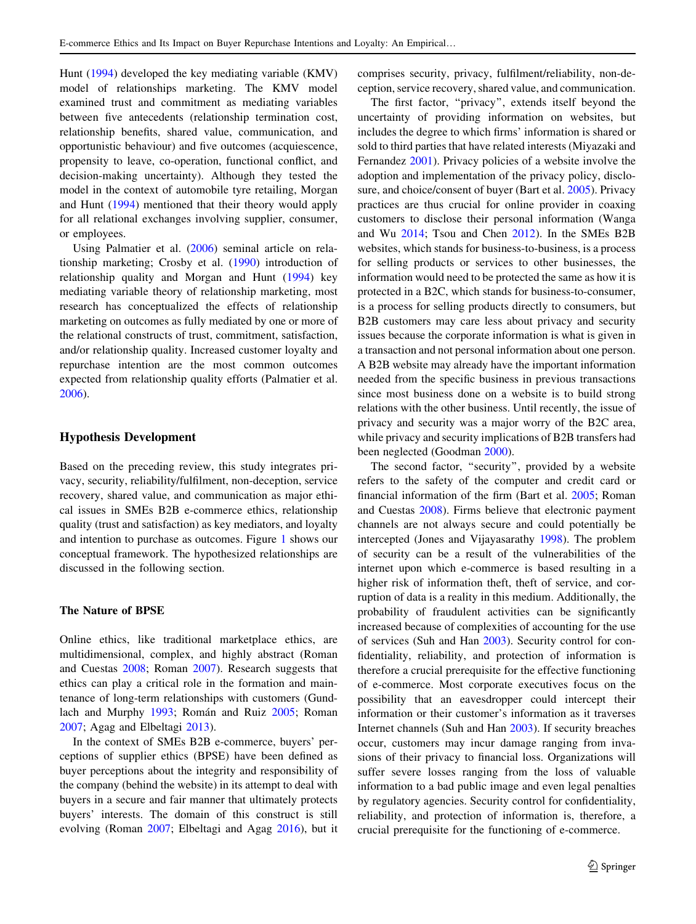<span id="page-4-0"></span>Hunt [\(1994](#page-20-0)) developed the key mediating variable (KMV) model of relationships marketing. The KMV model examined trust and commitment as mediating variables between five antecedents (relationship termination cost, relationship benefits, shared value, communication, and opportunistic behaviour) and five outcomes (acquiescence, propensity to leave, co-operation, functional conflict, and decision-making uncertainty). Although they tested the model in the context of automobile tyre retailing, Morgan and Hunt ([1994\)](#page-20-0) mentioned that their theory would apply for all relational exchanges involving supplier, consumer, or employees.

Using Palmatier et al. [\(2006](#page-20-0)) seminal article on relationship marketing; Crosby et al. [\(1990](#page-18-0)) introduction of relationship quality and Morgan and Hunt [\(1994](#page-20-0)) key mediating variable theory of relationship marketing, most research has conceptualized the effects of relationship marketing on outcomes as fully mediated by one or more of the relational constructs of trust, commitment, satisfaction, and/or relationship quality. Increased customer loyalty and repurchase intention are the most common outcomes expected from relationship quality efforts (Palmatier et al. [2006\)](#page-20-0).

#### Hypothesis Development

Based on the preceding review, this study integrates privacy, security, reliability/fulfilment, non-deception, service recovery, shared value, and communication as major ethical issues in SMEs B2B e-commerce ethics, relationship quality (trust and satisfaction) as key mediators, and loyalty and intention to purchase as outcomes. Figure [1](#page-5-0) shows our conceptual framework. The hypothesized relationships are discussed in the following section.

## The Nature of BPSE

Online ethics, like traditional marketplace ethics, are multidimensional, complex, and highly abstract (Roman and Cuestas [2008;](#page-21-0) Roman [2007](#page-21-0)). Research suggests that ethics can play a critical role in the formation and maintenance of long-term relationships with customers (Gund-lach and Murphy [1993;](#page-19-0) Román and Ruiz [2005;](#page-21-0) Roman [2007;](#page-21-0) Agag and Elbeltagi [2013](#page-18-0)).

In the context of SMEs B2B e-commerce, buyers' perceptions of supplier ethics (BPSE) have been defined as buyer perceptions about the integrity and responsibility of the company (behind the website) in its attempt to deal with buyers in a secure and fair manner that ultimately protects buyers' interests. The domain of this construct is still evolving (Roman [2007](#page-21-0); Elbeltagi and Agag [2016](#page-19-0)), but it

comprises security, privacy, fulfilment/reliability, non-deception, service recovery, shared value, and communication.

The first factor, ''privacy'', extends itself beyond the uncertainty of providing information on websites, but includes the degree to which firms' information is shared or sold to third parties that have related interests (Miyazaki and Fernandez [2001\)](#page-20-0). Privacy policies of a website involve the adoption and implementation of the privacy policy, disclosure, and choice/consent of buyer (Bart et al. [2005\)](#page-18-0). Privacy practices are thus crucial for online provider in coaxing customers to disclose their personal information (Wanga and Wu [2014](#page-21-0); Tsou and Chen [2012](#page-21-0)). In the SMEs B2B websites, which stands for business-to-business, is a process for selling products or services to other businesses, the information would need to be protected the same as how it is protected in a B2C, which stands for business-to-consumer, is a process for selling products directly to consumers, but B2B customers may care less about privacy and security issues because the corporate information is what is given in a transaction and not personal information about one person. A B2B website may already have the important information needed from the specific business in previous transactions since most business done on a website is to build strong relations with the other business. Until recently, the issue of privacy and security was a major worry of the B2C area, while privacy and security implications of B2B transfers had been neglected (Goodman [2000\)](#page-19-0).

The second factor, "security", provided by a website refers to the safety of the computer and credit card or financial information of the firm (Bart et al. [2005](#page-18-0); Roman and Cuestas [2008\)](#page-21-0). Firms believe that electronic payment channels are not always secure and could potentially be intercepted (Jones and Vijayasarathy [1998\)](#page-19-0). The problem of security can be a result of the vulnerabilities of the internet upon which e-commerce is based resulting in a higher risk of information theft, theft of service, and corruption of data is a reality in this medium. Additionally, the probability of fraudulent activities can be significantly increased because of complexities of accounting for the use of services (Suh and Han [2003\)](#page-21-0). Security control for confidentiality, reliability, and protection of information is therefore a crucial prerequisite for the effective functioning of e-commerce. Most corporate executives focus on the possibility that an eavesdropper could intercept their information or their customer's information as it traverses Internet channels (Suh and Han [2003](#page-21-0)). If security breaches occur, customers may incur damage ranging from invasions of their privacy to financial loss. Organizations will suffer severe losses ranging from the loss of valuable information to a bad public image and even legal penalties by regulatory agencies. Security control for confidentiality, reliability, and protection of information is, therefore, a crucial prerequisite for the functioning of e-commerce.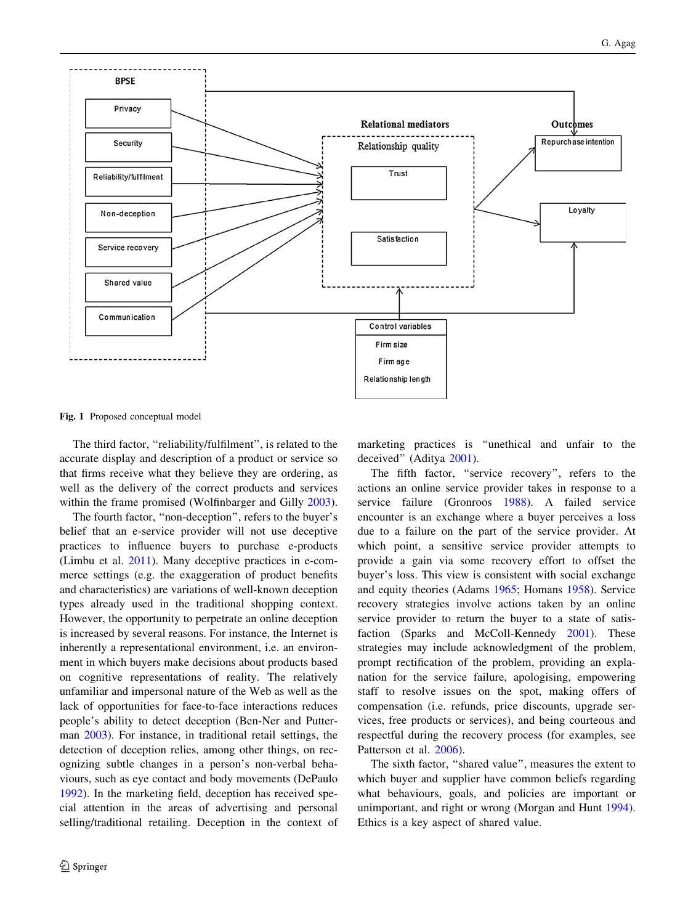<span id="page-5-0"></span>

Fig. 1 Proposed conceptual model

The third factor, "reliability/fulfilment", is related to the accurate display and description of a product or service so that firms receive what they believe they are ordering, as well as the delivery of the correct products and services within the frame promised (Wolfinbarger and Gilly [2003](#page-21-0)).

The fourth factor, ''non-deception'', refers to the buyer's belief that an e-service provider will not use deceptive practices to influence buyers to purchase e-products (Limbu et al. [2011\)](#page-20-0). Many deceptive practices in e-commerce settings (e.g. the exaggeration of product benefits and characteristics) are variations of well-known deception types already used in the traditional shopping context. However, the opportunity to perpetrate an online deception is increased by several reasons. For instance, the Internet is inherently a representational environment, i.e. an environment in which buyers make decisions about products based on cognitive representations of reality. The relatively unfamiliar and impersonal nature of the Web as well as the lack of opportunities for face-to-face interactions reduces people's ability to detect deception (Ben-Ner and Putterman [2003](#page-18-0)). For instance, in traditional retail settings, the detection of deception relies, among other things, on recognizing subtle changes in a person's non-verbal behaviours, such as eye contact and body movements (DePaulo [1992\)](#page-19-0). In the marketing field, deception has received special attention in the areas of advertising and personal selling/traditional retailing. Deception in the context of marketing practices is ''unethical and unfair to the deceived'' (Aditya [2001\)](#page-18-0).

The fifth factor, "service recovery", refers to the actions an online service provider takes in response to a service failure (Gronroos [1988\)](#page-19-0). A failed service encounter is an exchange where a buyer perceives a loss due to a failure on the part of the service provider. At which point, a sensitive service provider attempts to provide a gain via some recovery effort to offset the buyer's loss. This view is consistent with social exchange and equity theories (Adams [1965](#page-18-0); Homans [1958](#page-19-0)). Service recovery strategies involve actions taken by an online service provider to return the buyer to a state of satisfaction (Sparks and McColl-Kennedy [2001](#page-21-0)). These strategies may include acknowledgment of the problem, prompt rectification of the problem, providing an explanation for the service failure, apologising, empowering staff to resolve issues on the spot, making offers of compensation (i.e. refunds, price discounts, upgrade services, free products or services), and being courteous and respectful during the recovery process (for examples, see Patterson et al. [2006](#page-20-0)).

The sixth factor, ''shared value'', measures the extent to which buyer and supplier have common beliefs regarding what behaviours, goals, and policies are important or unimportant, and right or wrong (Morgan and Hunt [1994](#page-20-0)). Ethics is a key aspect of shared value.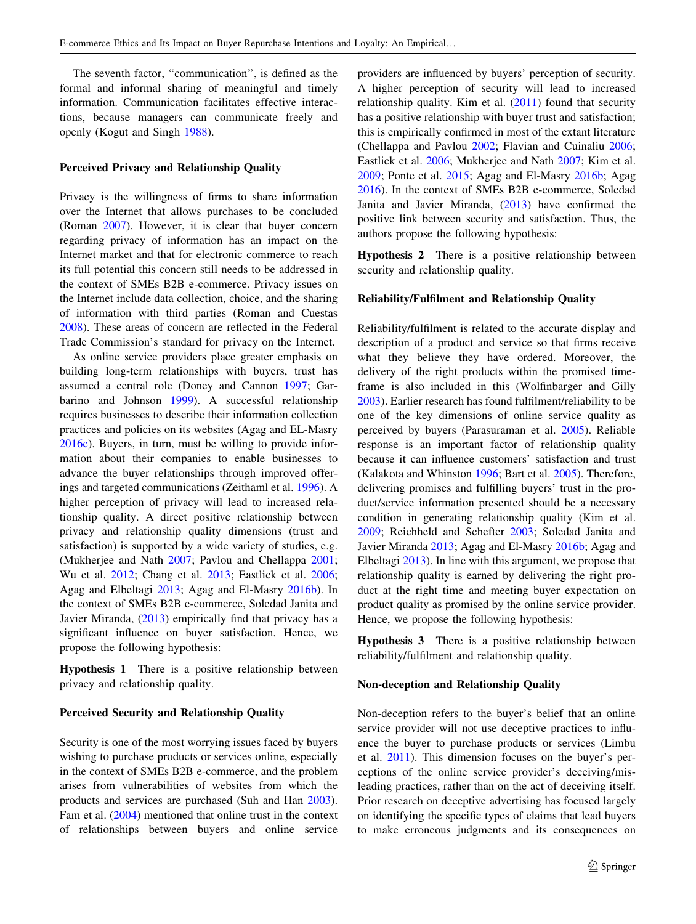The seventh factor, "communication", is defined as the formal and informal sharing of meaningful and timely information. Communication facilitates effective interactions, because managers can communicate freely and openly (Kogut and Singh [1988\)](#page-20-0).

## Perceived Privacy and Relationship Quality

Privacy is the willingness of firms to share information over the Internet that allows purchases to be concluded (Roman [2007](#page-21-0)). However, it is clear that buyer concern regarding privacy of information has an impact on the Internet market and that for electronic commerce to reach its full potential this concern still needs to be addressed in the context of SMEs B2B e-commerce. Privacy issues on the Internet include data collection, choice, and the sharing of information with third parties (Roman and Cuestas [2008\)](#page-21-0). These areas of concern are reflected in the Federal Trade Commission's standard for privacy on the Internet.

As online service providers place greater emphasis on building long-term relationships with buyers, trust has assumed a central role (Doney and Cannon [1997](#page-19-0); Garbarino and Johnson [1999\)](#page-19-0). A successful relationship requires businesses to describe their information collection practices and policies on its websites (Agag and EL-Masry [2016c](#page-18-0)). Buyers, in turn, must be willing to provide information about their companies to enable businesses to advance the buyer relationships through improved offerings and targeted communications (Zeithaml et al. [1996\)](#page-21-0). A higher perception of privacy will lead to increased relationship quality. A direct positive relationship between privacy and relationship quality dimensions (trust and satisfaction) is supported by a wide variety of studies, e.g. (Mukherjee and Nath [2007](#page-20-0); Pavlou and Chellappa [2001](#page-20-0); Wu et al. [2012;](#page-21-0) Chang et al. [2013;](#page-18-0) Eastlick et al. [2006](#page-19-0); Agag and Elbeltagi [2013;](#page-18-0) Agag and El-Masry [2016b](#page-18-0)). In the context of SMEs B2B e-commerce, Soledad Janita and Javier Miranda, [\(2013](#page-21-0)) empirically find that privacy has a significant influence on buyer satisfaction. Hence, we propose the following hypothesis:

Hypothesis 1 There is a positive relationship between privacy and relationship quality.

## Perceived Security and Relationship Quality

Security is one of the most worrying issues faced by buyers wishing to purchase products or services online, especially in the context of SMEs B2B e-commerce, and the problem arises from vulnerabilities of websites from which the products and services are purchased (Suh and Han [2003](#page-21-0)). Fam et al. [\(2004](#page-19-0)) mentioned that online trust in the context of relationships between buyers and online service

providers are influenced by buyers' perception of security. A higher perception of security will lead to increased relationship quality. Kim et al. [\(2011](#page-20-0)) found that security has a positive relationship with buyer trust and satisfaction; this is empirically confirmed in most of the extant literature (Chellappa and Pavlou [2002](#page-18-0); Flavian and Cuinaliu [2006](#page-19-0); Eastlick et al. [2006;](#page-19-0) Mukherjee and Nath [2007](#page-20-0); Kim et al. [2009](#page-20-0); Ponte et al. [2015;](#page-20-0) Agag and El-Masry [2016b;](#page-18-0) Agag [2016](#page-18-0)). In the context of SMEs B2B e-commerce, Soledad Janita and Javier Miranda, [\(2013](#page-21-0)) have confirmed the positive link between security and satisfaction. Thus, the authors propose the following hypothesis:

Hypothesis 2 There is a positive relationship between security and relationship quality.

## Reliability/Fulfilment and Relationship Quality

Reliability/fulfilment is related to the accurate display and description of a product and service so that firms receive what they believe they have ordered. Moreover, the delivery of the right products within the promised timeframe is also included in this (Wolfinbarger and Gilly [2003](#page-21-0)). Earlier research has found fulfilment/reliability to be one of the key dimensions of online service quality as perceived by buyers (Parasuraman et al. [2005](#page-20-0)). Reliable response is an important factor of relationship quality because it can influence customers' satisfaction and trust (Kalakota and Whinston [1996;](#page-19-0) Bart et al. [2005\)](#page-18-0). Therefore, delivering promises and fulfilling buyers' trust in the product/service information presented should be a necessary condition in generating relationship quality (Kim et al. [2009](#page-20-0); Reichheld and Schefter [2003;](#page-20-0) Soledad Janita and Javier Miranda [2013;](#page-21-0) Agag and El-Masry [2016b](#page-18-0); Agag and Elbeltagi [2013\)](#page-18-0). In line with this argument, we propose that relationship quality is earned by delivering the right product at the right time and meeting buyer expectation on product quality as promised by the online service provider. Hence, we propose the following hypothesis:

Hypothesis 3 There is a positive relationship between reliability/fulfilment and relationship quality.

#### Non-deception and Relationship Quality

Non-deception refers to the buyer's belief that an online service provider will not use deceptive practices to influence the buyer to purchase products or services (Limbu et al. [2011](#page-20-0)). This dimension focuses on the buyer's perceptions of the online service provider's deceiving/misleading practices, rather than on the act of deceiving itself. Prior research on deceptive advertising has focused largely on identifying the specific types of claims that lead buyers to make erroneous judgments and its consequences on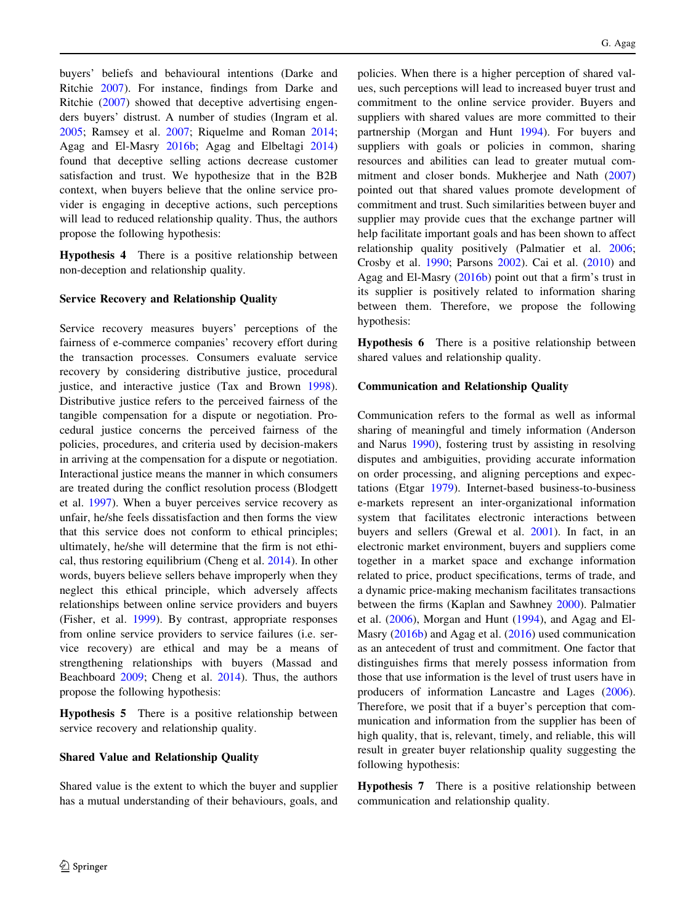buyers' beliefs and behavioural intentions (Darke and Ritchie [2007](#page-18-0)). For instance, findings from Darke and Ritchie ([2007\)](#page-18-0) showed that deceptive advertising engenders buyers' distrust. A number of studies (Ingram et al. [2005;](#page-19-0) Ramsey et al. [2007](#page-20-0); Riquelme and Roman [2014](#page-21-0); Agag and El-Masry [2016b](#page-18-0); Agag and Elbeltagi [2014\)](#page-18-0) found that deceptive selling actions decrease customer satisfaction and trust. We hypothesize that in the B2B context, when buyers believe that the online service provider is engaging in deceptive actions, such perceptions will lead to reduced relationship quality. Thus, the authors propose the following hypothesis:

Hypothesis 4 There is a positive relationship between non-deception and relationship quality.

## Service Recovery and Relationship Quality

Service recovery measures buyers' perceptions of the fairness of e-commerce companies' recovery effort during the transaction processes. Consumers evaluate service recovery by considering distributive justice, procedural justice, and interactive justice (Tax and Brown [1998](#page-21-0)). Distributive justice refers to the perceived fairness of the tangible compensation for a dispute or negotiation. Procedural justice concerns the perceived fairness of the policies, procedures, and criteria used by decision-makers in arriving at the compensation for a dispute or negotiation. Interactional justice means the manner in which consumers are treated during the conflict resolution process (Blodgett et al. [1997\)](#page-18-0). When a buyer perceives service recovery as unfair, he/she feels dissatisfaction and then forms the view that this service does not conform to ethical principles; ultimately, he/she will determine that the firm is not ethical, thus restoring equilibrium (Cheng et al. [2014](#page-18-0)). In other words, buyers believe sellers behave improperly when they neglect this ethical principle, which adversely affects relationships between online service providers and buyers (Fisher, et al. [1999](#page-19-0)). By contrast, appropriate responses from online service providers to service failures (i.e. service recovery) are ethical and may be a means of strengthening relationships with buyers (Massad and Beachboard [2009](#page-20-0); Cheng et al. [2014](#page-18-0)). Thus, the authors propose the following hypothesis:

Hypothesis 5 There is a positive relationship between service recovery and relationship quality.

## Shared Value and Relationship Quality

Shared value is the extent to which the buyer and supplier has a mutual understanding of their behaviours, goals, and policies. When there is a higher perception of shared values, such perceptions will lead to increased buyer trust and commitment to the online service provider. Buyers and suppliers with shared values are more committed to their partnership (Morgan and Hunt [1994](#page-20-0)). For buyers and suppliers with goals or policies in common, sharing resources and abilities can lead to greater mutual commitment and closer bonds. Mukherjee and Nath ([2007\)](#page-20-0) pointed out that shared values promote development of commitment and trust. Such similarities between buyer and supplier may provide cues that the exchange partner will help facilitate important goals and has been shown to affect relationship quality positively (Palmatier et al. [2006](#page-20-0); Crosby et al. [1990](#page-18-0); Parsons [2002](#page-20-0)). Cai et al. [\(2010](#page-18-0)) and Agag and El-Masry [\(2016b](#page-18-0)) point out that a firm's trust in its supplier is positively related to information sharing between them. Therefore, we propose the following hypothesis:

Hypothesis 6 There is a positive relationship between shared values and relationship quality.

#### Communication and Relationship Quality

Communication refers to the formal as well as informal sharing of meaningful and timely information (Anderson and Narus [1990](#page-18-0)), fostering trust by assisting in resolving disputes and ambiguities, providing accurate information on order processing, and aligning perceptions and expectations (Etgar [1979\)](#page-19-0). Internet-based business-to-business e-markets represent an inter-organizational information system that facilitates electronic interactions between buyers and sellers (Grewal et al. [2001](#page-19-0)). In fact, in an electronic market environment, buyers and suppliers come together in a market space and exchange information related to price, product specifications, terms of trade, and a dynamic price-making mechanism facilitates transactions between the firms (Kaplan and Sawhney [2000](#page-20-0)). Palmatier et al. [\(2006](#page-20-0)), Morgan and Hunt [\(1994](#page-20-0)), and Agag and El-Masry [\(2016b](#page-18-0)) and Agag et al. [\(2016](#page-18-0)) used communication as an antecedent of trust and commitment. One factor that distinguishes firms that merely possess information from those that use information is the level of trust users have in producers of information Lancastre and Lages [\(2006](#page-20-0)). Therefore, we posit that if a buyer's perception that communication and information from the supplier has been of high quality, that is, relevant, timely, and reliable, this will result in greater buyer relationship quality suggesting the following hypothesis:

Hypothesis 7 There is a positive relationship between communication and relationship quality.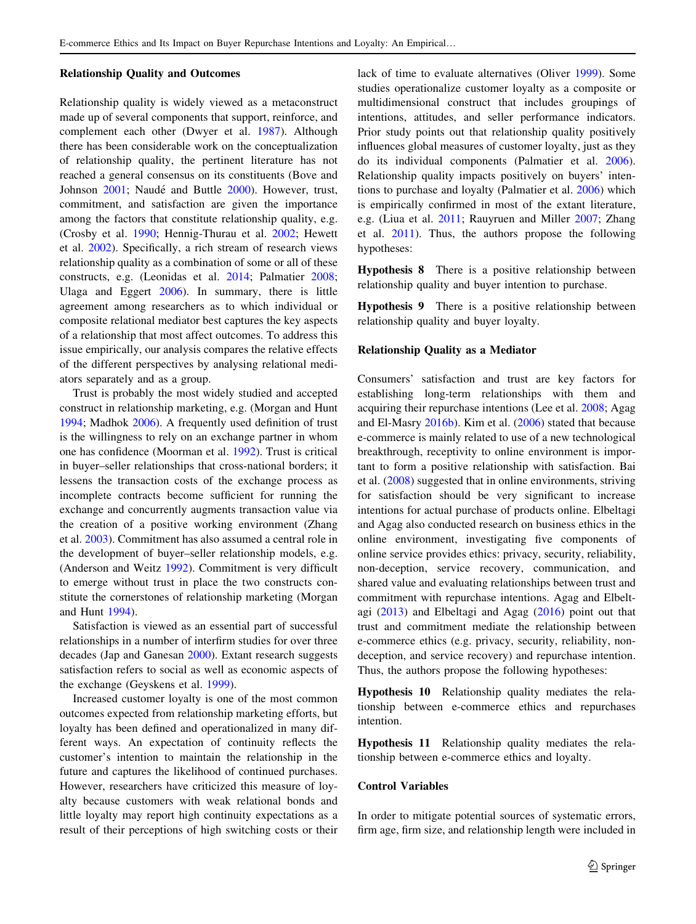#### Relationship Quality and Outcomes

Relationship quality is widely viewed as a metaconstruct made up of several components that support, reinforce, and complement each other (Dwyer et al. [1987](#page-19-0)). Although there has been considerable work on the conceptualization of relationship quality, the pertinent literature has not reached a general consensus on its constituents (Bove and Johnson [2001](#page-18-0); Naudé and Buttle [2000\)](#page-20-0). However, trust, commitment, and satisfaction are given the importance among the factors that constitute relationship quality, e.g. (Crosby et al. [1990;](#page-18-0) Hennig-Thurau et al. [2002;](#page-19-0) Hewett et al. [2002\)](#page-19-0). Specifically, a rich stream of research views relationship quality as a combination of some or all of these constructs, e.g. (Leonidas et al. [2014;](#page-20-0) Palmatier [2008](#page-20-0); Ulaga and Eggert [2006](#page-21-0)). In summary, there is little agreement among researchers as to which individual or composite relational mediator best captures the key aspects of a relationship that most affect outcomes. To address this issue empirically, our analysis compares the relative effects of the different perspectives by analysing relational mediators separately and as a group.

Trust is probably the most widely studied and accepted construct in relationship marketing, e.g. (Morgan and Hunt [1994;](#page-20-0) Madhok [2006](#page-20-0)). A frequently used definition of trust is the willingness to rely on an exchange partner in whom one has confidence (Moorman et al. [1992](#page-20-0)). Trust is critical in buyer–seller relationships that cross-national borders; it lessens the transaction costs of the exchange process as incomplete contracts become sufficient for running the exchange and concurrently augments transaction value via the creation of a positive working environment (Zhang et al. [2003\)](#page-21-0). Commitment has also assumed a central role in the development of buyer–seller relationship models, e.g. (Anderson and Weitz [1992](#page-18-0)). Commitment is very difficult to emerge without trust in place the two constructs constitute the cornerstones of relationship marketing (Morgan and Hunt [1994](#page-20-0)).

Satisfaction is viewed as an essential part of successful relationships in a number of interfirm studies for over three decades (Jap and Ganesan [2000\)](#page-19-0). Extant research suggests satisfaction refers to social as well as economic aspects of the exchange (Geyskens et al. [1999\)](#page-19-0).

Increased customer loyalty is one of the most common outcomes expected from relationship marketing efforts, but loyalty has been defined and operationalized in many different ways. An expectation of continuity reflects the customer's intention to maintain the relationship in the future and captures the likelihood of continued purchases. However, researchers have criticized this measure of loyalty because customers with weak relational bonds and little loyalty may report high continuity expectations as a result of their perceptions of high switching costs or their lack of time to evaluate alternatives (Oliver [1999\)](#page-20-0). Some studies operationalize customer loyalty as a composite or multidimensional construct that includes groupings of intentions, attitudes, and seller performance indicators. Prior study points out that relationship quality positively influences global measures of customer loyalty, just as they do its individual components (Palmatier et al. [2006](#page-20-0)). Relationship quality impacts positively on buyers' intentions to purchase and loyalty (Palmatier et al. [2006\)](#page-20-0) which is empirically confirmed in most of the extant literature, e.g. (Liua et al. [2011](#page-20-0); Rauyruen and Miller [2007;](#page-20-0) Zhang et al. [2011](#page-21-0)). Thus, the authors propose the following hypotheses:

Hypothesis 8 There is a positive relationship between relationship quality and buyer intention to purchase.

Hypothesis 9 There is a positive relationship between relationship quality and buyer loyalty.

#### Relationship Quality as a Mediator

Consumers' satisfaction and trust are key factors for establishing long-term relationships with them and acquiring their repurchase intentions (Lee et al. [2008](#page-20-0); Agag and El-Masry [2016b\)](#page-18-0). Kim et al. ([2006\)](#page-20-0) stated that because e-commerce is mainly related to use of a new technological breakthrough, receptivity to online environment is important to form a positive relationship with satisfaction. Bai et al. [\(2008](#page-18-0)) suggested that in online environments, striving for satisfaction should be very significant to increase intentions for actual purchase of products online. Elbeltagi and Agag also conducted research on business ethics in the online environment, investigating five components of online service provides ethics: privacy, security, reliability, non-deception, service recovery, communication, and shared value and evaluating relationships between trust and commitment with repurchase intentions. Agag and Elbeltagi ([2013\)](#page-18-0) and Elbeltagi and Agag [\(2016](#page-19-0)) point out that trust and commitment mediate the relationship between e-commerce ethics (e.g. privacy, security, reliability, nondeception, and service recovery) and repurchase intention. Thus, the authors propose the following hypotheses:

Hypothesis 10 Relationship quality mediates the relationship between e-commerce ethics and repurchases intention.

Hypothesis 11 Relationship quality mediates the relationship between e-commerce ethics and loyalty.

#### Control Variables

In order to mitigate potential sources of systematic errors, firm age, firm size, and relationship length were included in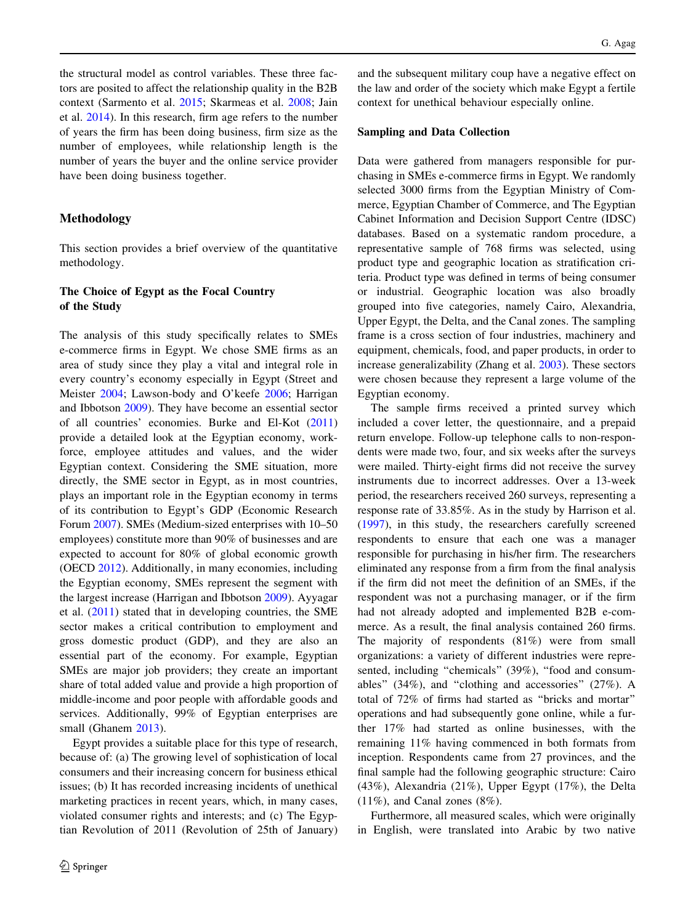<span id="page-9-0"></span>the structural model as control variables. These three factors are posited to affect the relationship quality in the B2B context (Sarmento et al. [2015;](#page-21-0) Skarmeas et al. [2008;](#page-21-0) Jain et al. [2014\)](#page-19-0). In this research, firm age refers to the number of years the firm has been doing business, firm size as the number of employees, while relationship length is the number of years the buyer and the online service provider have been doing business together.

## Methodology

This section provides a brief overview of the quantitative methodology.

## The Choice of Egypt as the Focal Country of the Study

The analysis of this study specifically relates to SMEs e-commerce firms in Egypt. We chose SME firms as an area of study since they play a vital and integral role in every country's economy especially in Egypt (Street and Meister [2004;](#page-21-0) Lawson-body and O'keefe [2006;](#page-20-0) Harrigan and Ibbotson [2009](#page-19-0)). They have become an essential sector of all countries' economies. Burke and El-Kot ([2011\)](#page-18-0) provide a detailed look at the Egyptian economy, workforce, employee attitudes and values, and the wider Egyptian context. Considering the SME situation, more directly, the SME sector in Egypt, as in most countries, plays an important role in the Egyptian economy in terms of its contribution to Egypt's GDP (Economic Research Forum [2007\)](#page-19-0). SMEs (Medium-sized enterprises with 10–50 employees) constitute more than 90% of businesses and are expected to account for 80% of global economic growth (OECD [2012](#page-20-0)). Additionally, in many economies, including the Egyptian economy, SMEs represent the segment with the largest increase (Harrigan and Ibbotson [2009](#page-19-0)). Ayyagar et al. [\(2011](#page-18-0)) stated that in developing countries, the SME sector makes a critical contribution to employment and gross domestic product (GDP), and they are also an essential part of the economy. For example, Egyptian SMEs are major job providers; they create an important share of total added value and provide a high proportion of middle-income and poor people with affordable goods and services. Additionally, 99% of Egyptian enterprises are small (Ghanem [2013\)](#page-19-0).

Egypt provides a suitable place for this type of research, because of: (a) The growing level of sophistication of local consumers and their increasing concern for business ethical issues; (b) It has recorded increasing incidents of unethical marketing practices in recent years, which, in many cases, violated consumer rights and interests; and (c) The Egyptian Revolution of 2011 (Revolution of 25th of January) and the subsequent military coup have a negative effect on the law and order of the society which make Egypt a fertile context for unethical behaviour especially online.

## Sampling and Data Collection

Data were gathered from managers responsible for purchasing in SMEs e-commerce firms in Egypt. We randomly selected 3000 firms from the Egyptian Ministry of Commerce, Egyptian Chamber of Commerce, and The Egyptian Cabinet Information and Decision Support Centre (IDSC) databases. Based on a systematic random procedure, a representative sample of 768 firms was selected, using product type and geographic location as stratification criteria. Product type was defined in terms of being consumer or industrial. Geographic location was also broadly grouped into five categories, namely Cairo, Alexandria, Upper Egypt, the Delta, and the Canal zones. The sampling frame is a cross section of four industries, machinery and equipment, chemicals, food, and paper products, in order to increase generalizability (Zhang et al. [2003](#page-21-0)). These sectors were chosen because they represent a large volume of the Egyptian economy.

The sample firms received a printed survey which included a cover letter, the questionnaire, and a prepaid return envelope. Follow-up telephone calls to non-respondents were made two, four, and six weeks after the surveys were mailed. Thirty-eight firms did not receive the survey instruments due to incorrect addresses. Over a 13-week period, the researchers received 260 surveys, representing a response rate of 33.85%. As in the study by Harrison et al. [\(1997](#page-19-0)), in this study, the researchers carefully screened respondents to ensure that each one was a manager responsible for purchasing in his/her firm. The researchers eliminated any response from a firm from the final analysis if the firm did not meet the definition of an SMEs, if the respondent was not a purchasing manager, or if the firm had not already adopted and implemented B2B e-commerce. As a result, the final analysis contained 260 firms. The majority of respondents (81%) were from small organizations: a variety of different industries were represented, including "chemicals" (39%), "food and consumables'' (34%), and ''clothing and accessories'' (27%). A total of 72% of firms had started as ''bricks and mortar'' operations and had subsequently gone online, while a further 17% had started as online businesses, with the remaining 11% having commenced in both formats from inception. Respondents came from 27 provinces, and the final sample had the following geographic structure: Cairo (43%), Alexandria (21%), Upper Egypt (17%), the Delta  $(11\%)$ , and Canal zones  $(8\%)$ .

Furthermore, all measured scales, which were originally in English, were translated into Arabic by two native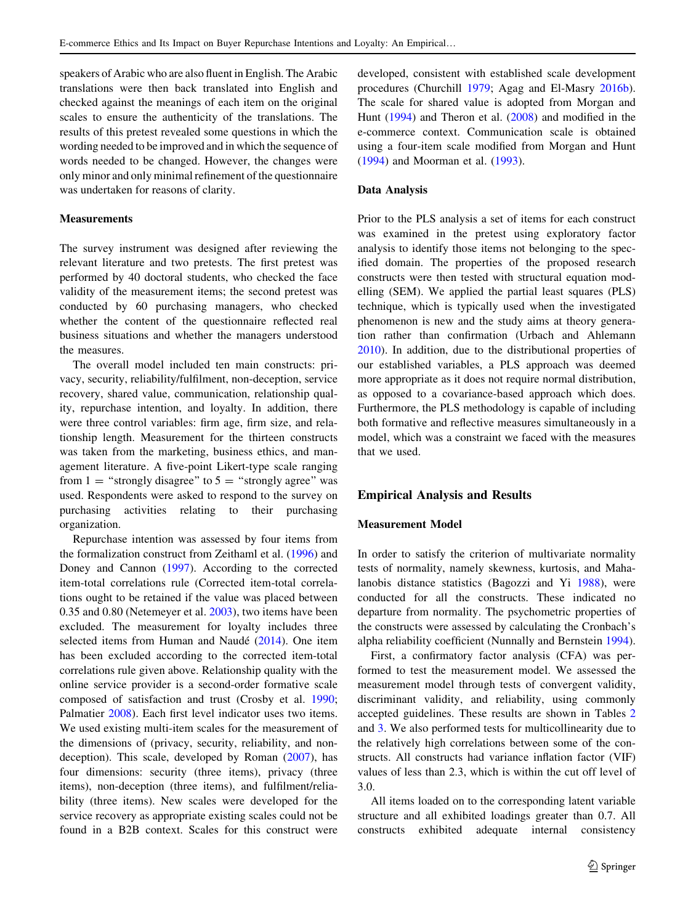<span id="page-10-0"></span>speakers of Arabic who are also fluent in English. The Arabic translations were then back translated into English and checked against the meanings of each item on the original scales to ensure the authenticity of the translations. The results of this pretest revealed some questions in which the wording needed to be improved and in which the sequence of words needed to be changed. However, the changes were only minor and only minimal refinement of the questionnaire was undertaken for reasons of clarity.

#### **Measurements**

The survey instrument was designed after reviewing the relevant literature and two pretests. The first pretest was performed by 40 doctoral students, who checked the face validity of the measurement items; the second pretest was conducted by 60 purchasing managers, who checked whether the content of the questionnaire reflected real business situations and whether the managers understood the measures.

The overall model included ten main constructs: privacy, security, reliability/fulfilment, non-deception, service recovery, shared value, communication, relationship quality, repurchase intention, and loyalty. In addition, there were three control variables: firm age, firm size, and relationship length. Measurement for the thirteen constructs was taken from the marketing, business ethics, and management literature. A five-point Likert-type scale ranging from  $1 =$  "strongly disagree" to  $5 =$  "strongly agree" was used. Respondents were asked to respond to the survey on purchasing activities relating to their purchasing organization.

Repurchase intention was assessed by four items from the formalization construct from Zeithaml et al. ([1996\)](#page-21-0) and Doney and Cannon [\(1997](#page-19-0)). According to the corrected item-total correlations rule (Corrected item-total correlations ought to be retained if the value was placed between 0.35 and 0.80 (Netemeyer et al. [2003](#page-20-0)), two items have been excluded. The measurement for loyalty includes three selected items from Human and Naudé  $(2014)$  $(2014)$ . One item has been excluded according to the corrected item-total correlations rule given above. Relationship quality with the online service provider is a second-order formative scale composed of satisfaction and trust (Crosby et al. [1990](#page-18-0); Palmatier [2008\)](#page-20-0). Each first level indicator uses two items. We used existing multi-item scales for the measurement of the dimensions of (privacy, security, reliability, and nondeception). This scale, developed by Roman ([2007\)](#page-21-0), has four dimensions: security (three items), privacy (three items), non-deception (three items), and fulfilment/reliability (three items). New scales were developed for the service recovery as appropriate existing scales could not be found in a B2B context. Scales for this construct were developed, consistent with established scale development procedures (Churchill [1979;](#page-18-0) Agag and El-Masry [2016b](#page-18-0)). The scale for shared value is adopted from Morgan and Hunt ([1994\)](#page-20-0) and Theron et al. [\(2008](#page-21-0)) and modified in the e-commerce context. Communication scale is obtained using a four-item scale modified from Morgan and Hunt [\(1994](#page-20-0)) and Moorman et al. ([1993\)](#page-20-0).

### Data Analysis

Prior to the PLS analysis a set of items for each construct was examined in the pretest using exploratory factor analysis to identify those items not belonging to the specified domain. The properties of the proposed research constructs were then tested with structural equation modelling (SEM). We applied the partial least squares (PLS) technique, which is typically used when the investigated phenomenon is new and the study aims at theory generation rather than confirmation (Urbach and Ahlemann [2010](#page-21-0)). In addition, due to the distributional properties of our established variables, a PLS approach was deemed more appropriate as it does not require normal distribution, as opposed to a covariance-based approach which does. Furthermore, the PLS methodology is capable of including both formative and reflective measures simultaneously in a model, which was a constraint we faced with the measures that we used.

#### Empirical Analysis and Results

#### Measurement Model

In order to satisfy the criterion of multivariate normality tests of normality, namely skewness, kurtosis, and Mahalanobis distance statistics (Bagozzi and Yi [1988\)](#page-18-0), were conducted for all the constructs. These indicated no departure from normality. The psychometric properties of the constructs were assessed by calculating the Cronbach's alpha reliability coefficient (Nunnally and Bernstein [1994](#page-20-0)).

First, a confirmatory factor analysis (CFA) was performed to test the measurement model. We assessed the measurement model through tests of convergent validity, discriminant validity, and reliability, using commonly accepted guidelines. These results are shown in Tables [2](#page-11-0) and [3](#page-12-0). We also performed tests for multicollinearity due to the relatively high correlations between some of the constructs. All constructs had variance inflation factor (VIF) values of less than 2.3, which is within the cut off level of 3.0.

All items loaded on to the corresponding latent variable structure and all exhibited loadings greater than 0.7. All constructs exhibited adequate internal consistency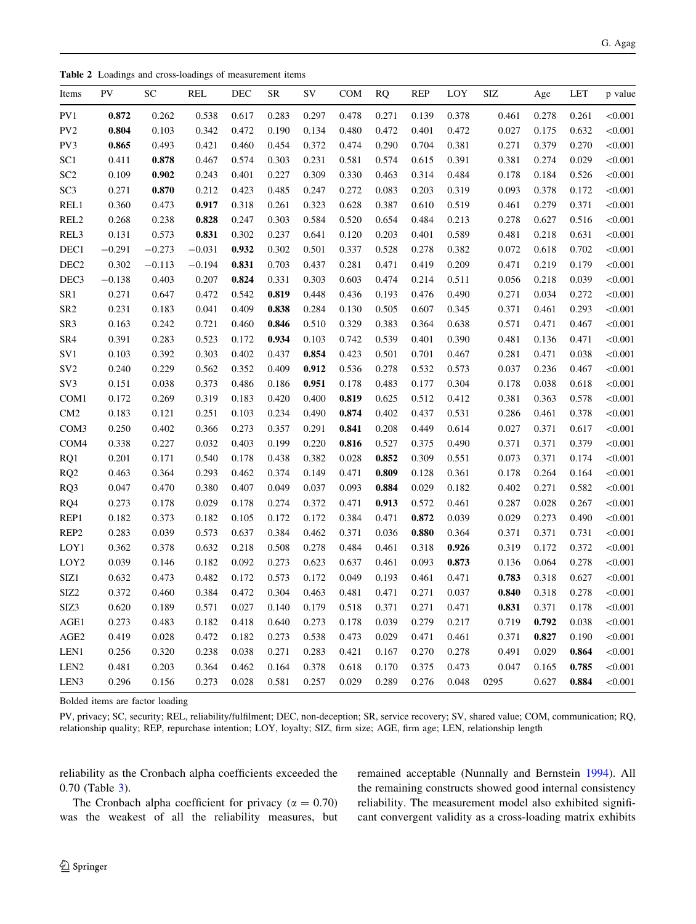<span id="page-11-0"></span>Table 2 Loadings and cross-loadings of measurement items

| Items            | PV       | <b>SC</b> | REL      | DEC   | <b>SR</b> | SV    | <b>COM</b> | <b>RQ</b> | <b>REP</b> | LOY   | SIZ   | Age   | LET   | p value |
|------------------|----------|-----------|----------|-------|-----------|-------|------------|-----------|------------|-------|-------|-------|-------|---------|
| PV1              | 0.872    | 0.262     | 0.538    | 0.617 | 0.283     | 0.297 | 0.478      | 0.271     | 0.139      | 0.378 | 0.461 | 0.278 | 0.261 | < 0.001 |
| PV <sub>2</sub>  | 0.804    | 0.103     | 0.342    | 0.472 | 0.190     | 0.134 | 0.480      | 0.472     | 0.401      | 0.472 | 0.027 | 0.175 | 0.632 | < 0.001 |
| PV3              | 0.865    | 0.493     | 0.421    | 0.460 | 0.454     | 0.372 | 0.474      | 0.290     | 0.704      | 0.381 | 0.271 | 0.379 | 0.270 | < 0.001 |
| SC <sub>1</sub>  | 0.411    | 0.878     | 0.467    | 0.574 | 0.303     | 0.231 | 0.581      | 0.574     | 0.615      | 0.391 | 0.381 | 0.274 | 0.029 | < 0.001 |
| SC <sub>2</sub>  | 0.109    | 0.902     | 0.243    | 0.401 | 0.227     | 0.309 | 0.330      | 0.463     | 0.314      | 0.484 | 0.178 | 0.184 | 0.526 | < 0.001 |
| SC <sub>3</sub>  | 0.271    | 0.870     | 0.212    | 0.423 | 0.485     | 0.247 | 0.272      | 0.083     | 0.203      | 0.319 | 0.093 | 0.378 | 0.172 | < 0.001 |
| REL1             | 0.360    | 0.473     | 0.917    | 0.318 | 0.261     | 0.323 | 0.628      | 0.387     | 0.610      | 0.519 | 0.461 | 0.279 | 0.371 | < 0.001 |
| REL <sub>2</sub> | 0.268    | 0.238     | 0.828    | 0.247 | 0.303     | 0.584 | 0.520      | 0.654     | 0.484      | 0.213 | 0.278 | 0.627 | 0.516 | < 0.001 |
| REL <sub>3</sub> | 0.131    | 0.573     | 0.831    | 0.302 | 0.237     | 0.641 | 0.120      | 0.203     | 0.401      | 0.589 | 0.481 | 0.218 | 0.631 | < 0.001 |
| DEC1             | $-0.291$ | $-0.273$  | $-0.031$ | 0.932 | 0.302     | 0.501 | 0.337      | 0.528     | 0.278      | 0.382 | 0.072 | 0.618 | 0.702 | < 0.001 |
| DEC <sub>2</sub> | 0.302    | $-0.113$  | $-0.194$ | 0.831 | 0.703     | 0.437 | 0.281      | 0.471     | 0.419      | 0.209 | 0.471 | 0.219 | 0.179 | < 0.001 |
| DEC <sub>3</sub> | $-0.138$ | 0.403     | 0.207    | 0.824 | 0.331     | 0.303 | 0.603      | 0.474     | 0.214      | 0.511 | 0.056 | 0.218 | 0.039 | < 0.001 |
| SR1              | 0.271    | 0.647     | 0.472    | 0.542 | 0.819     | 0.448 | 0.436      | 0.193     | 0.476      | 0.490 | 0.271 | 0.034 | 0.272 | < 0.001 |
| SR <sub>2</sub>  | 0.231    | 0.183     | 0.041    | 0.409 | 0.838     | 0.284 | 0.130      | 0.505     | 0.607      | 0.345 | 0.371 | 0.461 | 0.293 | < 0.001 |
| SR3              | 0.163    | 0.242     | 0.721    | 0.460 | 0.846     | 0.510 | 0.329      | 0.383     | 0.364      | 0.638 | 0.571 | 0.471 | 0.467 | < 0.001 |
| SR4              | 0.391    | 0.283     | 0.523    | 0.172 | 0.934     | 0.103 | 0.742      | 0.539     | 0.401      | 0.390 | 0.481 | 0.136 | 0.471 | < 0.001 |
| SV1              | 0.103    | 0.392     | 0.303    | 0.402 | 0.437     | 0.854 | 0.423      | 0.501     | 0.701      | 0.467 | 0.281 | 0.471 | 0.038 | < 0.001 |
| SV <sub>2</sub>  | 0.240    | 0.229     | 0.562    | 0.352 | 0.409     | 0.912 | 0.536      | 0.278     | 0.532      | 0.573 | 0.037 | 0.236 | 0.467 | < 0.001 |
| SV3              | 0.151    | 0.038     | 0.373    | 0.486 | 0.186     | 0.951 | 0.178      | 0.483     | 0.177      | 0.304 | 0.178 | 0.038 | 0.618 | < 0.001 |
| COM1             | 0.172    | 0.269     | 0.319    | 0.183 | 0.420     | 0.400 | 0.819      | 0.625     | 0.512      | 0.412 | 0.381 | 0.363 | 0.578 | < 0.001 |
| CM2              | 0.183    | 0.121     | 0.251    | 0.103 | 0.234     | 0.490 | 0.874      | 0.402     | 0.437      | 0.531 | 0.286 | 0.461 | 0.378 | < 0.001 |
| COM3             | 0.250    | 0.402     | 0.366    | 0.273 | 0.357     | 0.291 | 0.841      | 0.208     | 0.449      | 0.614 | 0.027 | 0.371 | 0.617 | < 0.001 |
| COM <sub>4</sub> | 0.338    | 0.227     | 0.032    | 0.403 | 0.199     | 0.220 | 0.816      | 0.527     | 0.375      | 0.490 | 0.371 | 0.371 | 0.379 | < 0.001 |
| RQ1              | 0.201    | 0.171     | 0.540    | 0.178 | 0.438     | 0.382 | 0.028      | 0.852     | 0.309      | 0.551 | 0.073 | 0.371 | 0.174 | < 0.001 |
| RQ <sub>2</sub>  | 0.463    | 0.364     | 0.293    | 0.462 | 0.374     | 0.149 | 0.471      | 0.809     | 0.128      | 0.361 | 0.178 | 0.264 | 0.164 | < 0.001 |
| RQ3              | 0.047    | 0.470     | 0.380    | 0.407 | 0.049     | 0.037 | 0.093      | 0.884     | 0.029      | 0.182 | 0.402 | 0.271 | 0.582 | < 0.001 |
| RQ4              | 0.273    | 0.178     | 0.029    | 0.178 | 0.274     | 0.372 | 0.471      | 0.913     | 0.572      | 0.461 | 0.287 | 0.028 | 0.267 | < 0.001 |
| REP1             | 0.182    | 0.373     | 0.182    | 0.105 | 0.172     | 0.172 | 0.384      | 0.471     | 0.872      | 0.039 | 0.029 | 0.273 | 0.490 | < 0.001 |
| REP <sub>2</sub> | 0.283    | 0.039     | 0.573    | 0.637 | 0.384     | 0.462 | 0.371      | 0.036     | 0.880      | 0.364 | 0.371 | 0.371 | 0.731 | < 0.001 |
| LOY1             | 0.362    | 0.378     | 0.632    | 0.218 | 0.508     | 0.278 | 0.484      | 0.461     | 0.318      | 0.926 | 0.319 | 0.172 | 0.372 | < 0.001 |
| LOY <sub>2</sub> | 0.039    | 0.146     | 0.182    | 0.092 | 0.273     | 0.623 | 0.637      | 0.461     | 0.093      | 0.873 | 0.136 | 0.064 | 0.278 | < 0.001 |
| SIZ1             | 0.632    | 0.473     | 0.482    | 0.172 | 0.573     | 0.172 | 0.049      | 0.193     | 0.461      | 0.471 | 0.783 | 0.318 | 0.627 | < 0.001 |
| SIZ <sub>2</sub> | 0.372    | 0.460     | 0.384    | 0.472 | 0.304     | 0.463 | 0.481      | 0.471     | 0.271      | 0.037 | 0.840 | 0.318 | 0.278 | < 0.001 |
| SIZ3             | 0.620    | 0.189     | 0.571    | 0.027 | 0.140     | 0.179 | 0.518      | 0.371     | 0.271      | 0.471 | 0.831 | 0.371 | 0.178 | < 0.001 |
| AGE1             | 0.273    | 0.483     | 0.182    | 0.418 | 0.640     | 0.273 | 0.178      | 0.039     | 0.279      | 0.217 | 0.719 | 0.792 | 0.038 | < 0.001 |
| AGE <sub>2</sub> | 0.419    | 0.028     | 0.472    | 0.182 | 0.273     | 0.538 | 0.473      | 0.029     | 0.471      | 0.461 | 0.371 | 0.827 | 0.190 | < 0.001 |
| LEN1             | 0.256    | 0.320     | 0.238    | 0.038 | 0.271     | 0.283 | 0.421      | 0.167     | 0.270      | 0.278 | 0.491 | 0.029 | 0.864 | < 0.001 |
| LEN <sub>2</sub> | 0.481    | 0.203     | 0.364    | 0.462 | 0.164     | 0.378 | 0.618      | 0.170     | 0.375      | 0.473 | 0.047 | 0.165 | 0.785 | < 0.001 |
| LEN3             | 0.296    | 0.156     | 0.273    | 0.028 | 0.581     | 0.257 | 0.029      | 0.289     | 0.276      | 0.048 | 0295  | 0.627 | 0.884 | < 0.001 |

Bolded items are factor loading

PV, privacy; SC, security; REL, reliability/fulfilment; DEC, non-deception; SR, service recovery; SV, shared value; COM, communication; RQ, relationship quality; REP, repurchase intention; LOY, loyalty; SIZ, firm size; AGE, firm age; LEN, relationship length

reliability as the Cronbach alpha coefficients exceeded the 0.70 (Table [3](#page-12-0)).

The Cronbach alpha coefficient for privacy ( $\alpha = 0.70$ ) was the weakest of all the reliability measures, but remained acceptable (Nunnally and Bernstein [1994](#page-20-0)). All the remaining constructs showed good internal consistency reliability. The measurement model also exhibited significant convergent validity as a cross-loading matrix exhibits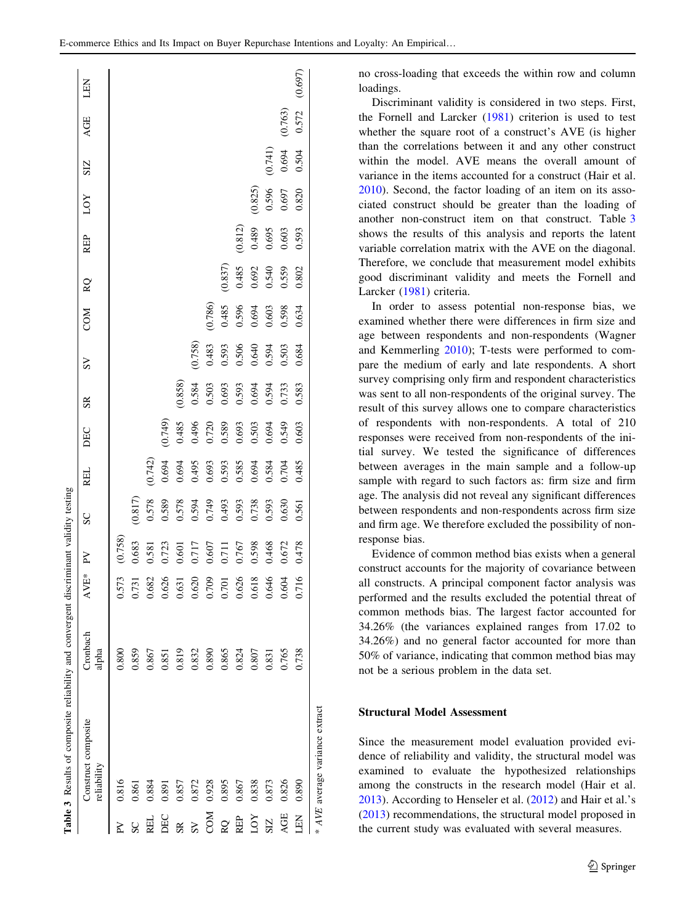<span id="page-12-0"></span>

|                | Table 3 Results of composite reliability and convergent discriminant validity testing |                   |                    |                |                         |         |         |                |                |            |         |            |            |            |            |         |
|----------------|---------------------------------------------------------------------------------------|-------------------|--------------------|----------------|-------------------------|---------|---------|----------------|----------------|------------|---------|------------|------------|------------|------------|---------|
|                | Construct composite<br>reliability                                                    | Cronbach<br>alpha | AVE*               | ΡV             | SC                      | REL     | DEC     | S <sub>R</sub> | $\overline{S}$ | <b>COM</b> | RQ      | <b>REP</b> | <b>LOY</b> | <b>SIZ</b> | <b>AGE</b> | LEN     |
|                | 0.816                                                                                 | 0.800             | 0.573              | (0.758)        |                         |         |         |                |                |            |         |            |            |            |            |         |
| SC             | .861                                                                                  | 0.859             | 0.731              | 0.683          | (0.817)                 |         |         |                |                |            |         |            |            |            |            |         |
|                | 0.884                                                                                 | 0.867             | 0.682              | 0.581          | 0.578                   | (0.742) |         |                |                |            |         |            |            |            |            |         |
| DEC            | 0.891                                                                                 | 0.851             | 0.626              | 0.723          | 0.589                   | 0.694   | (0.749) |                |                |            |         |            |            |            |            |         |
| S <sub>R</sub> | 0.857                                                                                 | 0.819             | 0.631              | 0.601          |                         | 0.694   | 0.485   | (0.858)        |                |            |         |            |            |            |            |         |
| SSV            | 0.872                                                                                 | 0.832             |                    |                | 0.578<br>0.594<br>0.749 | 0.495   | 0.496   | 0.584          | (0.758)        |            |         |            |            |            |            |         |
| <b>COM</b>     | 0.928                                                                                 | 0.890             | $0.620$<br>$0.709$ | 0.717<br>0.607 |                         | 0.693   | 0.720   | 0.503          | 0.483          | (0.786)    |         |            |            |            |            |         |
| RQ             | 0.895                                                                                 | 0.865             | 0.701              | 0.711          | 0.493                   | 0.593   | 0.589   | 0.693          | 0.593          | 0.485      | (0.837) |            |            |            |            |         |
| <b>REP</b>     | 0.867                                                                                 | 0.824             | 0.626              | 0.767          | 0.593                   | 0.585   | 0.693   | 0.593          | 0.506          | 0.596      | 0.485   | (0.812)    |            |            |            |         |
| <b>LOY</b>     | 0.838                                                                                 | 0.807             | 0.618              | 0.598          | 0.738                   | 0.694   | 0.503   | 0.694          | 0.640          | 0.694      | 0.692   | 0.489      | (0.825)    |            |            |         |
| <b>SIZ</b>     | 0.873                                                                                 | 0.831             | 0.646              | 0.468          | 0.593                   | 0.584   | 0.694   | 0.594          | 0.594          | 0.603      | 0.540   | 0.695      | 0.596      | (0.741)    |            |         |
| AGE            | 0.826                                                                                 | 0.765             | 0.604              | 0.672          | 0.630                   | 0.704   | 0.549   | 0.733          | 0.503          | 0.598      | 0.559   | 0.603      | 0.697      | 0.694      | (0.763)    |         |
| LEN            | 0.890                                                                                 | 0.738             | 0.716              | 0.478          | 0.561                   | 0.485   | 0.603   | 0.583          | 0.684          | 0.634      | 0.802   | 0.593      | 0.820      | 0.504      | 0.572      | (0.697) |
|                | * AVE average variance extract                                                        |                   |                    |                |                         |         |         |                |                |            |         |            |            |            |            |         |

no cross-loading that exceeds the within row and column loadings.

Discriminant validity is considered in two steps. First, the Fornell and Larcker [\(1981](#page-19-0)) criterion is used to test whether the square root of a construct's AVE (is higher than the correlations between it and any other construct within the model. AVE means the overall amount of variance in the items accounted for a construct (Hair et al. [2010](#page-19-0)). Second, the factor loading of an item on its associated construct should be greater than the loading of another non-construct item on that construct. Table 3 shows the results of this analysis and reports the latent variable correlation matrix with the AVE on the diagonal. Therefore, we conclude that measurement model exhibits good discriminant validity and meets the Fornell and Larcker ([1981\)](#page-19-0) criteria.

In order to assess potential non-response bias, we examined whether there were differences in firm size and age between respondents and non-respondents (Wagner and Kemmerling [2010](#page-21-0)); T-tests were performed to compare the medium of early and late respondents. A short survey comprising only firm and respondent characteristics was sent to all non-respondents of the original survey. The result of this survey allows one to compare characteristics of respondents with non-respondents. A total of 210 responses were received from non-respondents of the initial survey. We tested the significance of differences between averages in the main sample and a follow-up sample with regard to such factors as: firm size and firm age. The analysis did not reveal any significant differences between respondents and non-respondents across firm size and firm age. We therefore excluded the possibility of nonresponse bias.

Evidence of common method bias exists when a general construct accounts for the majority of covariance between all constructs. A principal component factor analysis was performed and the results excluded the potential threat of common methods bias. The largest factor accounted for 34.26% (the variances explained ranges from 17.02 to 34.26%) and no general factor accounted for more than 50% of variance, indicating that common method bias may not be a serious problem in the data set.

# Structural Model Assessment

Since the measurement model evaluation provided evidence of reliability and validity, the structural model was examined to evaluate the hypothesized relationships among the constructs in the research model (Hair et al. [2013](#page-19-0)). According to Henseler et al. [\(2012](#page-19-0)) and Hair et al.'s [\(2013](#page-19-0)) recommendations, the structural model proposed in the current study was evaluated with several measures.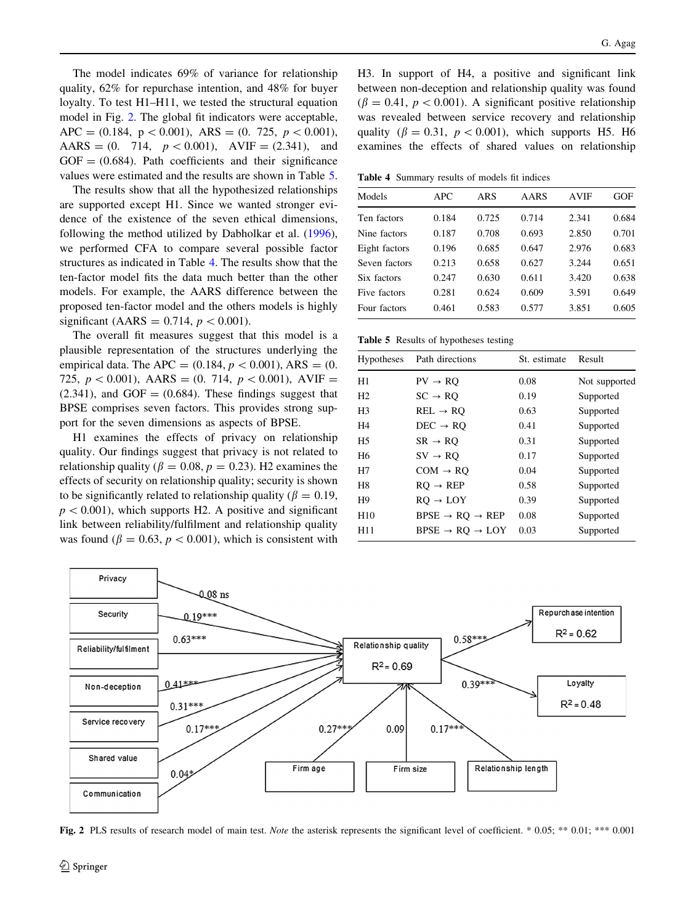The model indicates 69% of variance for relationship quality, 62% for repurchase intention, and 48% for buyer loyalty. To test H1–H11, we tested the structural equation model in Fig. 2. The global fit indicators were acceptable, APC =  $(0.184, p < 0.001)$ , ARS =  $(0. 725, p < 0.001)$ , AARS =  $(0. 714, p < 0.001)$ , AVIF =  $(2.341)$ , and  $GOF = (0.684)$ . Path coefficients and their significance values were estimated and the results are shown in Table 5.

The results show that all the hypothesized relationships are supported except H1. Since we wanted stronger evidence of the existence of the seven ethical dimensions, following the method utilized by Dabholkar et al. [\(1996](#page-18-0)), we performed CFA to compare several possible factor structures as indicated in Table 4. The results show that the ten-factor model fits the data much better than the other models. For example, the AARS difference between the proposed ten-factor model and the others models is highly significant (AARS = 0.714,  $p < 0.001$ ).

The overall fit measures suggest that this model is a plausible representation of the structures underlying the empirical data. The APC =  $(0.184, p < 0.001)$ , ARS =  $(0.$ 725,  $p < 0.001$ ), AARS = (0. 714,  $p < 0.001$ ), AVIF =  $(2.341)$ , and GOF =  $(0.684)$ . These findings suggest that BPSE comprises seven factors. This provides strong support for the seven dimensions as aspects of BPSE.

H1 examines the effects of privacy on relationship quality. Our findings suggest that privacy is not related to relationship quality ( $\beta = 0.08$ ,  $p = 0.23$ ). H2 examines the effects of security on relationship quality; security is shown to be significantly related to relationship quality ( $\beta = 0.19$ ,  $p\lt 0.001$ ), which supports H2. A positive and significant link between reliability/fulfilment and relationship quality was found ( $\beta = 0.63$ ,  $p < 0.001$ ), which is consistent with

H3. In support of H4, a positive and significant link between non-deception and relationship quality was found  $(\beta = 0.41, p < 0.001)$ . A significant positive relationship was revealed between service recovery and relationship quality ( $\beta = 0.31$ ,  $p < 0.001$ ), which supports H5. H6 examines the effects of shared values on relationship

Table 4 Summary results of models fit indices

| Models        | APC.  | ARS   | AARS  | <b>AVIF</b> | GOF   |
|---------------|-------|-------|-------|-------------|-------|
| Ten factors   | 0.184 | 0.725 | 0.714 | 2.341       | 0.684 |
| Nine factors  | 0.187 | 0.708 | 0.693 | 2.850       | 0.701 |
| Eight factors | 0.196 | 0.685 | 0.647 | 2.976       | 0.683 |
| Seven factors | 0.213 | 0.658 | 0.627 | 3.244       | 0.651 |
| Six factors   | 0.247 | 0.630 | 0.611 | 3.420       | 0.638 |
| Five factors  | 0.281 | 0.624 | 0.609 | 3.591       | 0.649 |
| Four factors  | 0.461 | 0.583 | 0.577 | 3.851       | 0.605 |
|               |       |       |       |             |       |

Table 5 Results of hypotheses testing

| <b>Hypotheses</b> | Path directions                       | St. estimate | Result        |
|-------------------|---------------------------------------|--------------|---------------|
| H1                | $PV \rightarrow RO$                   | 0.08         | Not supported |
| H <sub>2</sub>    | $SC \rightarrow RQ$                   | 0.19         | Supported     |
| H <sub>3</sub>    | $REL \rightarrow RO$                  | 0.63         | Supported     |
| H <sub>4</sub>    | $DEC \rightarrow RQ$                  | 0.41         | Supported     |
| H <sub>5</sub>    | $SR \rightarrow RO$                   | 0.31         | Supported     |
| H <sub>6</sub>    | $SV \rightarrow RO$                   | 0.17         | Supported     |
| H7                | $COM \rightarrow RO$                  | 0.04         | Supported     |
| H <sub>8</sub>    | $RO \rightarrow REP$                  | 0.58         | Supported     |
| H <sub>9</sub>    | $RO \rightarrow LOY$                  | 0.39         | Supported     |
| H10               | $BPSE \rightarrow RO \rightarrow REP$ | 0.08         | Supported     |
| H11               | $BPSE \rightarrow RO \rightarrow LOY$ | 0.03         | Supported     |



Fig. 2 PLS results of research model of main test. *Note* the asterisk represents the significant level of coefficient. \* 0.05; \*\* 0.01; \*\*\* 0.001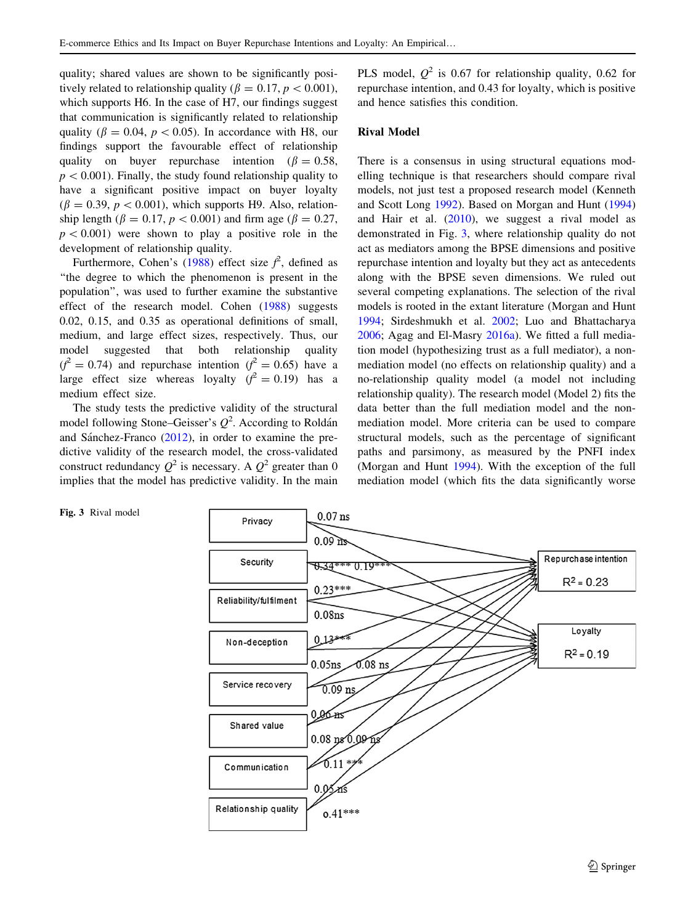quality; shared values are shown to be significantly positively related to relationship quality ( $\beta = 0.17$ ,  $p < 0.001$ ), which supports H6. In the case of H7, our findings suggest that communication is significantly related to relationship quality ( $\beta = 0.04$ ,  $p < 0.05$ ). In accordance with H8, our findings support the favourable effect of relationship quality on buyer repurchase intention ( $\beta = 0.58$ ,  $p<0.001$ ). Finally, the study found relationship quality to have a significant positive impact on buyer loyalty  $(\beta = 0.39, p < 0.001)$ , which supports H9. Also, relationship length ( $\beta = 0.17$ ,  $p < 0.001$ ) and firm age ( $\beta = 0.27$ ,  $p < 0.001$ ) were shown to play a positive role in the development of relationship quality.

Furthermore, Cohen's ([1988\)](#page-18-0) effect size  $f^2$ , defined as ''the degree to which the phenomenon is present in the population'', was used to further examine the substantive effect of the research model. Cohen [\(1988](#page-18-0)) suggests 0.02, 0.15, and 0.35 as operational definitions of small, medium, and large effect sizes, respectively. Thus, our model suggested that both relationship quality  $(f^2 = 0.74)$  and repurchase intention  $(f^2 = 0.65)$  have a large effect size whereas loyalty  $(f^2 = 0.19)$  has a medium effect size.

The study tests the predictive validity of the structural model following Stone–Geisser's  $Q^2$ . According to Roldán and Sánchez-Franco  $(2012)$  $(2012)$ , in order to examine the predictive validity of the research model, the cross-validated construct redundancy  $Q^2$  is necessary. A  $Q^2$  greater than 0 implies that the model has predictive validity. In the main PLS model,  $Q^2$  is 0.67 for relationship quality, 0.62 for repurchase intention, and 0.43 for loyalty, which is positive and hence satisfies this condition.

## Rival Model

There is a consensus in using structural equations modelling technique is that researchers should compare rival models, not just test a proposed research model (Kenneth and Scott Long [1992\)](#page-20-0). Based on Morgan and Hunt ([1994\)](#page-20-0) and Hair et al.  $(2010)$  $(2010)$  $(2010)$ , we suggest a rival model as demonstrated in Fig. 3, where relationship quality do not act as mediators among the BPSE dimensions and positive repurchase intention and loyalty but they act as antecedents along with the BPSE seven dimensions. We ruled out several competing explanations. The selection of the rival models is rooted in the extant literature (Morgan and Hunt [1994](#page-20-0); Sirdeshmukh et al. [2002](#page-21-0); Luo and Bhattacharya [2006](#page-20-0); Agag and El-Masry [2016a\)](#page-18-0). We fitted a full mediation model (hypothesizing trust as a full mediator), a nonmediation model (no effects on relationship quality) and a no-relationship quality model (a model not including relationship quality). The research model (Model 2) fits the data better than the full mediation model and the nonmediation model. More criteria can be used to compare structural models, such as the percentage of significant paths and parsimony, as measured by the PNFI index (Morgan and Hunt [1994\)](#page-20-0). With the exception of the full mediation model (which fits the data significantly worse

Fig. 3 Rival model

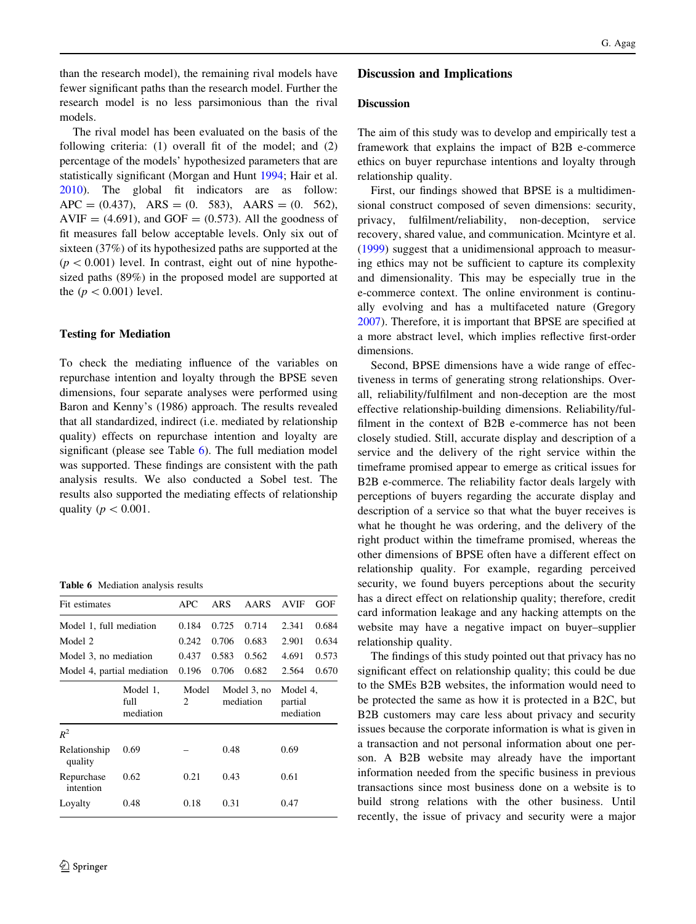<span id="page-15-0"></span>than the research model), the remaining rival models have fewer significant paths than the research model. Further the research model is no less parsimonious than the rival models.

The rival model has been evaluated on the basis of the following criteria: (1) overall fit of the model; and (2) percentage of the models' hypothesized parameters that are statistically significant (Morgan and Hunt [1994;](#page-20-0) Hair et al. [2010\)](#page-19-0). The global fit indicators are as follow:  $APC = (0.437)$ ,  $ARS = (0.583)$ ,  $AARS = (0.562)$ , AVIF =  $(4.691)$ , and GOF =  $(0.573)$ . All the goodness of fit measures fall below acceptable levels. Only six out of sixteen (37%) of its hypothesized paths are supported at the  $(p<0.001)$  level. In contrast, eight out of nine hypothesized paths (89%) in the proposed model are supported at the  $(p<0.001)$  level.

#### Testing for Mediation

To check the mediating influence of the variables on repurchase intention and loyalty through the BPSE seven dimensions, four separate analyses were performed using Baron and Kenny's (1986) approach. The results revealed that all standardized, indirect (i.e. mediated by relationship quality) effects on repurchase intention and loyalty are significant (please see Table 6). The full mediation model was supported. These findings are consistent with the path analysis results. We also conducted a Sobel test. The results also supported the mediating effects of relationship quality ( $p<0.001$ .

Table 6 Mediation analysis results

| Fit estimates              |                               | APC        | <b>ARS</b> | AARS                     | <b>AVIF</b>                      | GOF   |
|----------------------------|-------------------------------|------------|------------|--------------------------|----------------------------------|-------|
| Model 1, full mediation    |                               | 0.184      | 0.725      | 0.714                    | 2.341                            | 0.684 |
| Model 2                    |                               | 0.242      | 0.706      | 0.683                    | 2.901                            | 0.634 |
| Model 3, no mediation      |                               | 0.437      | 0.583      | 0.562                    | 4.691                            | 0.573 |
| Model 4, partial mediation |                               | 0.196      | 0.706      | 0.682                    | 2.564                            | 0.670 |
|                            | Model 1,<br>full<br>mediation | Model<br>2 |            | Model 3, no<br>mediation | Model 4,<br>partial<br>mediation |       |
| $R^2$                      |                               |            |            |                          |                                  |       |
| Relationship<br>quality    | 0.69                          |            | 0.48       |                          | 0.69                             |       |
| Repurchase<br>intention    | 0.62                          | 0.21       | 0.43       |                          | 0.61                             |       |
| Loyalty                    | 0.48                          | 0.18       | 0.31       |                          | 0.47                             |       |

#### Discussion and Implications

#### **Discussion**

The aim of this study was to develop and empirically test a framework that explains the impact of B2B e-commerce ethics on buyer repurchase intentions and loyalty through relationship quality.

First, our findings showed that BPSE is a multidimensional construct composed of seven dimensions: security, privacy, fulfilment/reliability, non-deception, service recovery, shared value, and communication. Mcintyre et al. [\(1999](#page-20-0)) suggest that a unidimensional approach to measuring ethics may not be sufficient to capture its complexity and dimensionality. This may be especially true in the e-commerce context. The online environment is continually evolving and has a multifaceted nature (Gregory [2007](#page-19-0)). Therefore, it is important that BPSE are specified at a more abstract level, which implies reflective first-order dimensions.

Second, BPSE dimensions have a wide range of effectiveness in terms of generating strong relationships. Overall, reliability/fulfilment and non-deception are the most effective relationship-building dimensions. Reliability/fulfilment in the context of B2B e-commerce has not been closely studied. Still, accurate display and description of a service and the delivery of the right service within the timeframe promised appear to emerge as critical issues for B2B e-commerce. The reliability factor deals largely with perceptions of buyers regarding the accurate display and description of a service so that what the buyer receives is what he thought he was ordering, and the delivery of the right product within the timeframe promised, whereas the other dimensions of BPSE often have a different effect on relationship quality. For example, regarding perceived security, we found buyers perceptions about the security has a direct effect on relationship quality; therefore, credit card information leakage and any hacking attempts on the website may have a negative impact on buyer–supplier relationship quality.

The findings of this study pointed out that privacy has no significant effect on relationship quality; this could be due to the SMEs B2B websites, the information would need to be protected the same as how it is protected in a B2C, but B2B customers may care less about privacy and security issues because the corporate information is what is given in a transaction and not personal information about one person. A B2B website may already have the important information needed from the specific business in previous transactions since most business done on a website is to build strong relations with the other business. Until recently, the issue of privacy and security were a major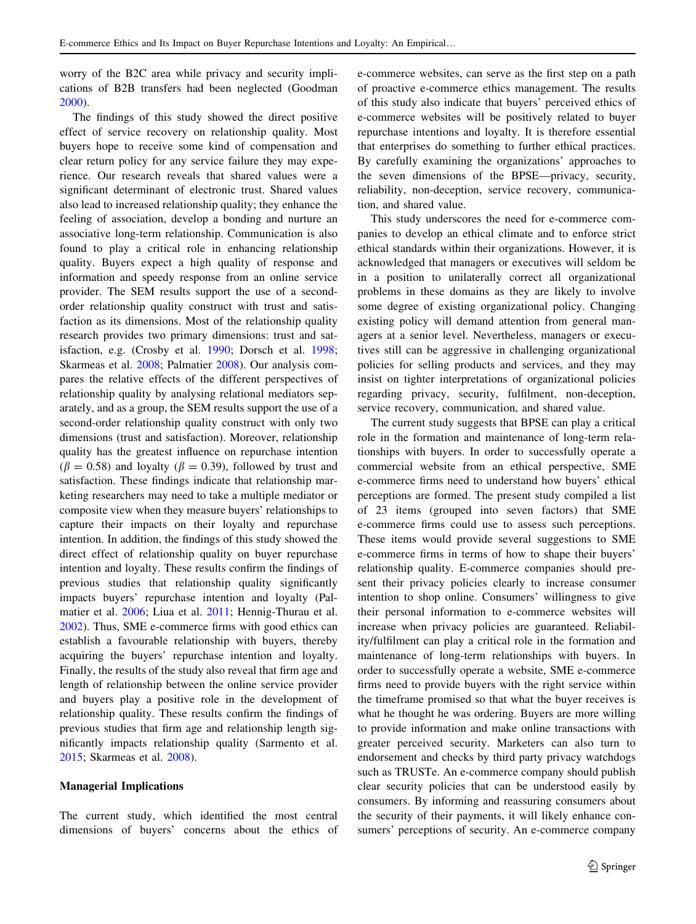worry of the B2C area while privacy and security implications of B2B transfers had been neglected (Goodman [2000\)](#page-19-0).

The findings of this study showed the direct positive effect of service recovery on relationship quality. Most buyers hope to receive some kind of compensation and clear return policy for any service failure they may experience. Our research reveals that shared values were a significant determinant of electronic trust. Shared values also lead to increased relationship quality; they enhance the feeling of association, develop a bonding and nurture an associative long-term relationship. Communication is also found to play a critical role in enhancing relationship quality. Buyers expect a high quality of response and information and speedy response from an online service provider. The SEM results support the use of a secondorder relationship quality construct with trust and satisfaction as its dimensions. Most of the relationship quality research provides two primary dimensions: trust and satisfaction, e.g. (Crosby et al. [1990](#page-18-0); Dorsch et al. [1998](#page-19-0); Skarmeas et al. [2008;](#page-21-0) Palmatier [2008\)](#page-20-0). Our analysis compares the relative effects of the different perspectives of relationship quality by analysing relational mediators separately, and as a group, the SEM results support the use of a second-order relationship quality construct with only two dimensions (trust and satisfaction). Moreover, relationship quality has the greatest influence on repurchase intention  $(\beta = 0.58)$  and loyalty  $(\beta = 0.39)$ , followed by trust and satisfaction. These findings indicate that relationship marketing researchers may need to take a multiple mediator or composite view when they measure buyers' relationships to capture their impacts on their loyalty and repurchase intention. In addition, the findings of this study showed the direct effect of relationship quality on buyer repurchase intention and loyalty. These results confirm the findings of previous studies that relationship quality significantly impacts buyers' repurchase intention and loyalty (Palmatier et al. [2006](#page-20-0); Liua et al. [2011;](#page-20-0) Hennig-Thurau et al. [2002\)](#page-19-0). Thus, SME e-commerce firms with good ethics can establish a favourable relationship with buyers, thereby acquiring the buyers' repurchase intention and loyalty. Finally, the results of the study also reveal that firm age and length of relationship between the online service provider and buyers play a positive role in the development of relationship quality. These results confirm the findings of previous studies that firm age and relationship length significantly impacts relationship quality (Sarmento et al. [2015;](#page-21-0) Skarmeas et al. [2008\)](#page-21-0).

#### Managerial Implications

The current study, which identified the most central dimensions of buyers' concerns about the ethics of e-commerce websites, can serve as the first step on a path of proactive e-commerce ethics management. The results of this study also indicate that buyers' perceived ethics of e-commerce websites will be positively related to buyer repurchase intentions and loyalty. It is therefore essential that enterprises do something to further ethical practices. By carefully examining the organizations' approaches to the seven dimensions of the BPSE—privacy, security, reliability, non-deception, service recovery, communication, and shared value.

This study underscores the need for e-commerce companies to develop an ethical climate and to enforce strict ethical standards within their organizations. However, it is acknowledged that managers or executives will seldom be in a position to unilaterally correct all organizational problems in these domains as they are likely to involve some degree of existing organizational policy. Changing existing policy will demand attention from general managers at a senior level. Nevertheless, managers or executives still can be aggressive in challenging organizational policies for selling products and services, and they may insist on tighter interpretations of organizational policies regarding privacy, security, fulfilment, non-deception, service recovery, communication, and shared value.

The current study suggests that BPSE can play a critical role in the formation and maintenance of long-term relationships with buyers. In order to successfully operate a commercial website from an ethical perspective, SME e-commerce firms need to understand how buyers' ethical perceptions are formed. The present study compiled a list of 23 items (grouped into seven factors) that SME e-commerce firms could use to assess such perceptions. These items would provide several suggestions to SME e-commerce firms in terms of how to shape their buyers' relationship quality. E-commerce companies should present their privacy policies clearly to increase consumer intention to shop online. Consumers' willingness to give their personal information to e-commerce websites will increase when privacy policies are guaranteed. Reliability/fulfilment can play a critical role in the formation and maintenance of long-term relationships with buyers. In order to successfully operate a website, SME e-commerce firms need to provide buyers with the right service within the timeframe promised so that what the buyer receives is what he thought he was ordering. Buyers are more willing to provide information and make online transactions with greater perceived security. Marketers can also turn to endorsement and checks by third party privacy watchdogs such as TRUSTe. An e-commerce company should publish clear security policies that can be understood easily by consumers. By informing and reassuring consumers about the security of their payments, it will likely enhance consumers' perceptions of security. An e-commerce company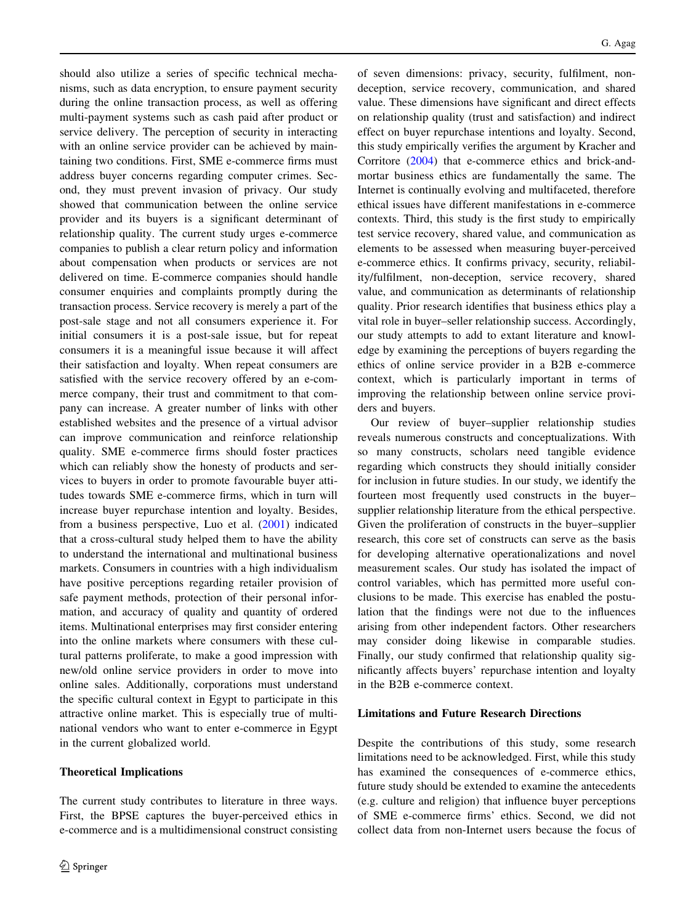should also utilize a series of specific technical mechanisms, such as data encryption, to ensure payment security during the online transaction process, as well as offering multi-payment systems such as cash paid after product or service delivery. The perception of security in interacting with an online service provider can be achieved by maintaining two conditions. First, SME e-commerce firms must address buyer concerns regarding computer crimes. Second, they must prevent invasion of privacy. Our study showed that communication between the online service provider and its buyers is a significant determinant of relationship quality. The current study urges e-commerce companies to publish a clear return policy and information about compensation when products or services are not delivered on time. E-commerce companies should handle consumer enquiries and complaints promptly during the transaction process. Service recovery is merely a part of the post-sale stage and not all consumers experience it. For initial consumers it is a post-sale issue, but for repeat consumers it is a meaningful issue because it will affect their satisfaction and loyalty. When repeat consumers are satisfied with the service recovery offered by an e-commerce company, their trust and commitment to that company can increase. A greater number of links with other established websites and the presence of a virtual advisor can improve communication and reinforce relationship quality. SME e-commerce firms should foster practices which can reliably show the honesty of products and services to buyers in order to promote favourable buyer attitudes towards SME e-commerce firms, which in turn will increase buyer repurchase intention and loyalty. Besides, from a business perspective, Luo et al. ([2001\)](#page-20-0) indicated that a cross-cultural study helped them to have the ability to understand the international and multinational business markets. Consumers in countries with a high individualism have positive perceptions regarding retailer provision of safe payment methods, protection of their personal information, and accuracy of quality and quantity of ordered items. Multinational enterprises may first consider entering into the online markets where consumers with these cultural patterns proliferate, to make a good impression with new/old online service providers in order to move into online sales. Additionally, corporations must understand the specific cultural context in Egypt to participate in this attractive online market. This is especially true of multinational vendors who want to enter e-commerce in Egypt in the current globalized world.

## Theoretical Implications

The current study contributes to literature in three ways. First, the BPSE captures the buyer-perceived ethics in e-commerce and is a multidimensional construct consisting of seven dimensions: privacy, security, fulfilment, nondeception, service recovery, communication, and shared value. These dimensions have significant and direct effects on relationship quality (trust and satisfaction) and indirect effect on buyer repurchase intentions and loyalty. Second, this study empirically verifies the argument by Kracher and Corritore [\(2004](#page-20-0)) that e-commerce ethics and brick-andmortar business ethics are fundamentally the same. The Internet is continually evolving and multifaceted, therefore ethical issues have different manifestations in e-commerce contexts. Third, this study is the first study to empirically test service recovery, shared value, and communication as elements to be assessed when measuring buyer-perceived e-commerce ethics. It confirms privacy, security, reliability/fulfilment, non-deception, service recovery, shared value, and communication as determinants of relationship quality. Prior research identifies that business ethics play a vital role in buyer–seller relationship success. Accordingly, our study attempts to add to extant literature and knowledge by examining the perceptions of buyers regarding the ethics of online service provider in a B2B e-commerce context, which is particularly important in terms of improving the relationship between online service providers and buyers.

Our review of buyer–supplier relationship studies reveals numerous constructs and conceptualizations. With so many constructs, scholars need tangible evidence regarding which constructs they should initially consider for inclusion in future studies. In our study, we identify the fourteen most frequently used constructs in the buyer– supplier relationship literature from the ethical perspective. Given the proliferation of constructs in the buyer–supplier research, this core set of constructs can serve as the basis for developing alternative operationalizations and novel measurement scales. Our study has isolated the impact of control variables, which has permitted more useful conclusions to be made. This exercise has enabled the postulation that the findings were not due to the influences arising from other independent factors. Other researchers may consider doing likewise in comparable studies. Finally, our study confirmed that relationship quality significantly affects buyers' repurchase intention and loyalty in the B2B e-commerce context.

## Limitations and Future Research Directions

Despite the contributions of this study, some research limitations need to be acknowledged. First, while this study has examined the consequences of e-commerce ethics, future study should be extended to examine the antecedents (e.g. culture and religion) that influence buyer perceptions of SME e-commerce firms' ethics. Second, we did not collect data from non-Internet users because the focus of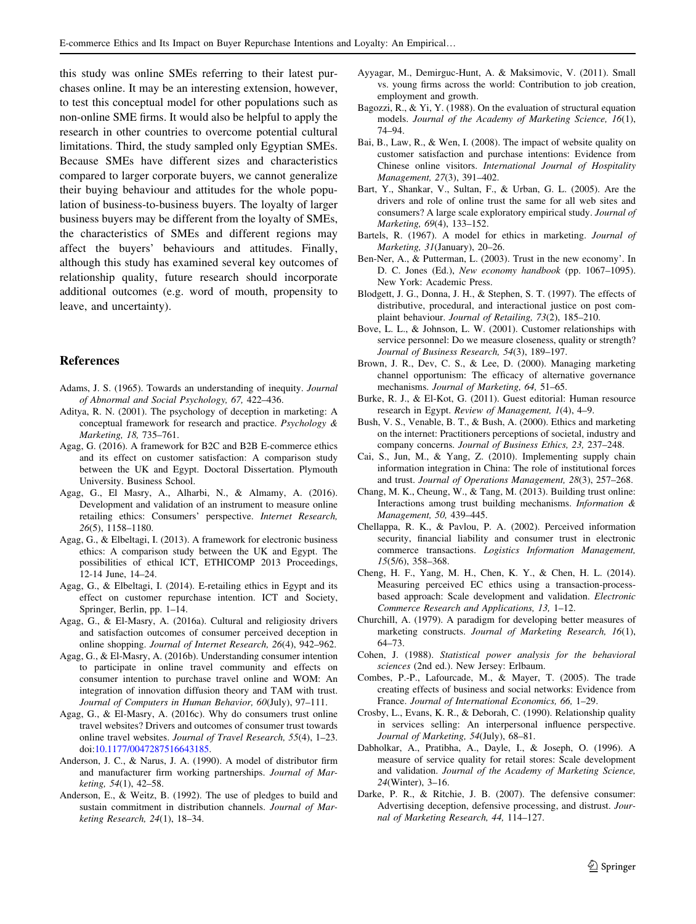<span id="page-18-0"></span>this study was online SMEs referring to their latest purchases online. It may be an interesting extension, however, to test this conceptual model for other populations such as non-online SME firms. It would also be helpful to apply the research in other countries to overcome potential cultural limitations. Third, the study sampled only Egyptian SMEs. Because SMEs have different sizes and characteristics compared to larger corporate buyers, we cannot generalize their buying behaviour and attitudes for the whole population of business-to-business buyers. The loyalty of larger business buyers may be different from the loyalty of SMEs, the characteristics of SMEs and different regions may affect the buyers' behaviours and attitudes. Finally, although this study has examined several key outcomes of relationship quality, future research should incorporate additional outcomes (e.g. word of mouth, propensity to leave, and uncertainty).

### References

- Adams, J. S. (1965). Towards an understanding of inequity. Journal of Abnormal and Social Psychology, 67, 422–436.
- Aditya, R. N. (2001). The psychology of deception in marketing: A conceptual framework for research and practice. Psychology & Marketing, 18, 735–761.
- Agag, G. (2016). A framework for B2C and B2B E-commerce ethics and its effect on customer satisfaction: A comparison study between the UK and Egypt. Doctoral Dissertation. Plymouth University. Business School.
- Agag, G., El Masry, A., Alharbi, N., & Almamy, A. (2016). Development and validation of an instrument to measure online retailing ethics: Consumers' perspective. Internet Research, 26(5), 1158–1180.
- Agag, G., & Elbeltagi, I. (2013). A framework for electronic business ethics: A comparison study between the UK and Egypt. The possibilities of ethical ICT, ETHICOMP 2013 Proceedings, 12-14 June, 14–24.
- Agag, G., & Elbeltagi, I. (2014). E-retailing ethics in Egypt and its effect on customer repurchase intention. ICT and Society, Springer, Berlin, pp. 1–14.
- Agag, G., & El-Masry, A. (2016a). Cultural and religiosity drivers and satisfaction outcomes of consumer perceived deception in online shopping. Journal of Internet Research, 26(4), 942–962.
- Agag, G., & El-Masry, A. (2016b). Understanding consumer intention to participate in online travel community and effects on consumer intention to purchase travel online and WOM: An integration of innovation diffusion theory and TAM with trust. Journal of Computers in Human Behavior, 60(July), 97–111.
- Agag, G., & El-Masry, A. (2016c). Why do consumers trust online travel websites? Drivers and outcomes of consumer trust towards online travel websites. Journal of Travel Research, 55(4), 1–23. doi[:10.1177/0047287516643185.](http://dx.doi.org/10.1177/0047287516643185)
- Anderson, J. C., & Narus, J. A. (1990). A model of distributor firm and manufacturer firm working partnerships. Journal of Marketing, 54(1), 42–58.
- Anderson, E., & Weitz, B. (1992). The use of pledges to build and sustain commitment in distribution channels. Journal of Marketing Research, 24(1), 18–34.
- Ayyagar, M., Demirguc-Hunt, A. & Maksimovic, V. (2011). Small vs. young firms across the world: Contribution to job creation, employment and growth.
- Bagozzi, R., & Yi, Y. (1988). On the evaluation of structural equation models. Journal of the Academy of Marketing Science, 16(1), 74–94.
- Bai, B., Law, R., & Wen, I. (2008). The impact of website quality on customer satisfaction and purchase intentions: Evidence from Chinese online visitors. International Journal of Hospitality Management, 27(3), 391–402.
- Bart, Y., Shankar, V., Sultan, F., & Urban, G. L. (2005). Are the drivers and role of online trust the same for all web sites and consumers? A large scale exploratory empirical study. Journal of Marketing, 69(4), 133–152.
- Bartels, R. (1967). A model for ethics in marketing. Journal of Marketing, 31(January), 20–26.
- Ben-Ner, A., & Putterman, L. (2003). Trust in the new economy'. In D. C. Jones (Ed.), New economy handbook (pp. 1067–1095). New York: Academic Press.
- Blodgett, J. G., Donna, J. H., & Stephen, S. T. (1997). The effects of distributive, procedural, and interactional justice on post complaint behaviour. Journal of Retailing, 73(2), 185–210.
- Bove, L. L., & Johnson, L. W. (2001). Customer relationships with service personnel: Do we measure closeness, quality or strength? Journal of Business Research, 54(3), 189–197.
- Brown, J. R., Dev, C. S., & Lee, D. (2000). Managing marketing channel opportunism: The efficacy of alternative governance mechanisms. Journal of Marketing, 64, 51–65.
- Burke, R. J., & El-Kot, G. (2011). Guest editorial: Human resource research in Egypt. Review of Management, 1(4), 4–9.
- Bush, V. S., Venable, B. T., & Bush, A. (2000). Ethics and marketing on the internet: Practitioners perceptions of societal, industry and company concerns. Journal of Business Ethics, 23, 237–248.
- Cai, S., Jun, M., & Yang, Z. (2010). Implementing supply chain information integration in China: The role of institutional forces and trust. Journal of Operations Management, 28(3), 257–268.
- Chang, M. K., Cheung, W., & Tang, M. (2013). Building trust online: Interactions among trust building mechanisms. Information & Management, 50, 439–445.
- Chellappa, R. K., & Pavlou, P. A. (2002). Perceived information security, financial liability and consumer trust in electronic commerce transactions. Logistics Information Management, 15(5/6), 358–368.
- Cheng, H. F., Yang, M. H., Chen, K. Y., & Chen, H. L. (2014). Measuring perceived EC ethics using a transaction-processbased approach: Scale development and validation. Electronic Commerce Research and Applications, 13, 1–12.
- Churchill, A. (1979). A paradigm for developing better measures of marketing constructs. Journal of Marketing Research, 16(1), 64–73.
- Cohen, J. (1988). Statistical power analysis for the behavioral sciences (2nd ed.). New Jersey: Erlbaum.
- Combes, P.-P., Lafourcade, M., & Mayer, T. (2005). The trade creating effects of business and social networks: Evidence from France. Journal of International Economics, 66, 1–29.
- Crosby, L., Evans, K. R., & Deborah, C. (1990). Relationship quality in services selling: An interpersonal influence perspective. Journal of Marketing, 54(July), 68–81.
- Dabholkar, A., Pratibha, A., Dayle, I., & Joseph, O. (1996). A measure of service quality for retail stores: Scale development and validation. Journal of the Academy of Marketing Science, 24(Winter), 3–16.
- Darke, P. R., & Ritchie, J. B. (2007). The defensive consumer: Advertising deception, defensive processing, and distrust. Journal of Marketing Research, 44, 114–127.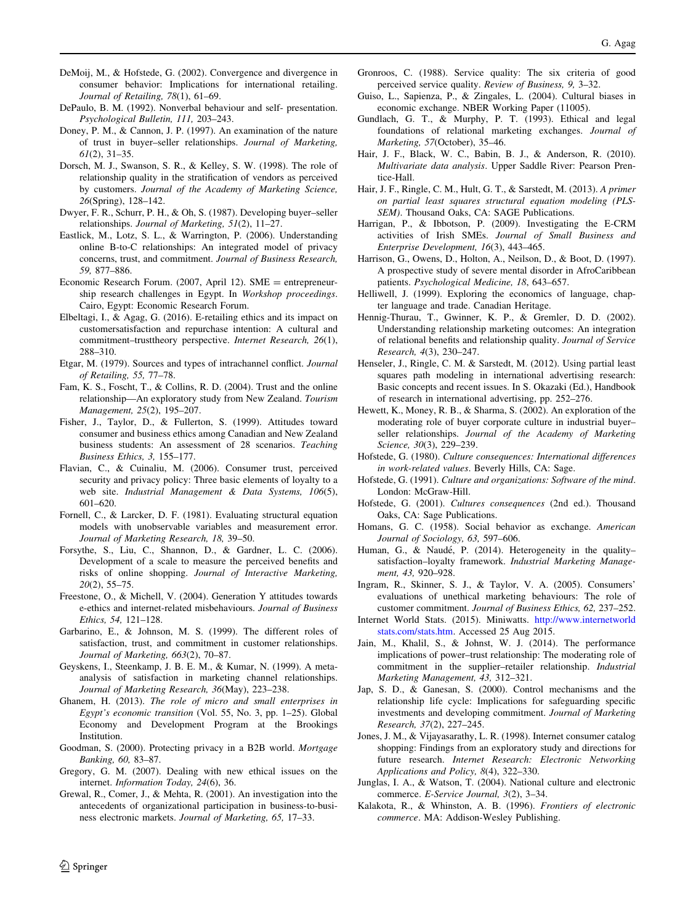- <span id="page-19-0"></span>DeMoij, M., & Hofstede, G. (2002). Convergence and divergence in consumer behavior: Implications for international retailing. Journal of Retailing, 78(1), 61–69.
- DePaulo, B. M. (1992). Nonverbal behaviour and self- presentation. Psychological Bulletin, 111, 203–243.
- Doney, P. M., & Cannon, J. P. (1997). An examination of the nature of trust in buyer–seller relationships. Journal of Marketing, 61(2), 31–35.
- Dorsch, M. J., Swanson, S. R., & Kelley, S. W. (1998). The role of relationship quality in the stratification of vendors as perceived by customers. Journal of the Academy of Marketing Science, 26(Spring), 128–142.
- Dwyer, F. R., Schurr, P. H., & Oh, S. (1987). Developing buyer–seller relationships. Journal of Marketing, 51(2), 11–27.
- Eastlick, M., Lotz, S. L., & Warrington, P. (2006). Understanding online B-to-C relationships: An integrated model of privacy concerns, trust, and commitment. Journal of Business Research, 59, 877–886.
- Economic Research Forum. (2007, April 12).  $\text{SME} = \text{entrepreneur-}$ ship research challenges in Egypt. In Workshop proceedings. Cairo, Egypt: Economic Research Forum.
- Elbeltagi, I., & Agag, G. (2016). E-retailing ethics and its impact on customersatisfaction and repurchase intention: A cultural and commitment–trusttheory perspective. Internet Research, 26(1), 288–310.
- Etgar, M. (1979). Sources and types of intrachannel conflict. Journal of Retailing, 55, 77–78.
- Fam, K. S., Foscht, T., & Collins, R. D. (2004). Trust and the online relationship—An exploratory study from New Zealand. Tourism Management, 25(2), 195–207.
- Fisher, J., Taylor, D., & Fullerton, S. (1999). Attitudes toward consumer and business ethics among Canadian and New Zealand business students: An assessment of 28 scenarios. Teaching Business Ethics, 3, 155–177.
- Flavian, C., & Cuinaliu, M. (2006). Consumer trust, perceived security and privacy policy: Three basic elements of loyalty to a web site. Industrial Management & Data Systems, 106(5), 601–620.
- Fornell, C., & Larcker, D. F. (1981). Evaluating structural equation models with unobservable variables and measurement error. Journal of Marketing Research, 18, 39–50.
- Forsythe, S., Liu, C., Shannon, D., & Gardner, L. C. (2006). Development of a scale to measure the perceived benefits and risks of online shopping. Journal of Interactive Marketing, 20(2), 55–75.
- Freestone, O., & Michell, V. (2004). Generation Y attitudes towards e-ethics and internet-related misbehaviours. Journal of Business Ethics, 54, 121–128.
- Garbarino, E., & Johnson, M. S. (1999). The different roles of satisfaction, trust, and commitment in customer relationships. Journal of Marketing, 663(2), 70–87.
- Geyskens, I., Steenkamp, J. B. E. M., & Kumar, N. (1999). A metaanalysis of satisfaction in marketing channel relationships. Journal of Marketing Research, 36(May), 223–238.
- Ghanem, H. (2013). The role of micro and small enterprises in Egypt's economic transition (Vol. 55, No. 3, pp. 1–25). Global Economy and Development Program at the Brookings Institution.
- Goodman, S. (2000). Protecting privacy in a B2B world. Mortgage Banking, 60, 83–87.
- Gregory, G. M. (2007). Dealing with new ethical issues on the internet. Information Today, 24(6), 36.
- Grewal, R., Comer, J., & Mehta, R. (2001). An investigation into the antecedents of organizational participation in business-to-business electronic markets. Journal of Marketing, 65, 17–33.
- Gronroos, C. (1988). Service quality: The six criteria of good perceived service quality. Review of Business, 9, 3–32.
- Guiso, L., Sapienza, P., & Zingales, L. (2004). Cultural biases in economic exchange. NBER Working Paper (11005).
- Gundlach, G. T., & Murphy, P. T. (1993). Ethical and legal foundations of relational marketing exchanges. Journal of Marketing, 57(October), 35–46.
- Hair, J. F., Black, W. C., Babin, B. J., & Anderson, R. (2010). Multivariate data analysis. Upper Saddle River: Pearson Prentice-Hall.
- Hair, J. F., Ringle, C. M., Hult, G. T., & Sarstedt, M. (2013). A primer on partial least squares structural equation modeling (PLS-SEM). Thousand Oaks, CA: SAGE Publications.
- Harrigan, P., & Ibbotson, P. (2009). Investigating the E-CRM activities of Irish SMEs. Journal of Small Business and Enterprise Development, 16(3), 443–465.
- Harrison, G., Owens, D., Holton, A., Neilson, D., & Boot, D. (1997). A prospective study of severe mental disorder in AfroCaribbean patients. Psychological Medicine, 18, 643–657.
- Helliwell, J. (1999). Exploring the economics of language, chapter language and trade. Canadian Heritage.
- Hennig-Thurau, T., Gwinner, K. P., & Gremler, D. D. (2002). Understanding relationship marketing outcomes: An integration of relational benefits and relationship quality. Journal of Service Research, 4(3), 230–247.
- Henseler, J., Ringle, C. M. & Sarstedt, M. (2012). Using partial least squares path modeling in international advertising research: Basic concepts and recent issues. In S. Okazaki (Ed.), Handbook of research in international advertising, pp. 252–276.
- Hewett, K., Money, R. B., & Sharma, S. (2002). An exploration of the moderating role of buyer corporate culture in industrial buyer– seller relationships. Journal of the Academy of Marketing Science, 30(3), 229–239.
- Hofstede, G. (1980). Culture consequences: International differences in work-related values. Beverly Hills, CA: Sage.
- Hofstede, G. (1991). Culture and organizations: Software of the mind. London: McGraw-Hill.
- Hofstede, G. (2001). Cultures consequences (2nd ed.). Thousand Oaks, CA: Sage Publications.
- Homans, G. C. (1958). Social behavior as exchange. American Journal of Sociology, 63, 597–606.
- Human, G., & Naudé, P. (2014). Heterogeneity in the qualitysatisfaction–loyalty framework. Industrial Marketing Management, 43, 920–928.
- Ingram, R., Skinner, S. J., & Taylor, V. A. (2005). Consumers' evaluations of unethical marketing behaviours: The role of customer commitment. Journal of Business Ethics, 62, 237–252.
- Internet World Stats. (2015). Miniwatts. [http://www.internetworld](http://www.internetworldstats.com/stats.htm) [stats.com/stats.htm.](http://www.internetworldstats.com/stats.htm) Accessed 25 Aug 2015.
- Jain, M., Khalil, S., & Johnst, W. J. (2014). The performance implications of power–trust relationship: The moderating role of commitment in the supplier–retailer relationship. Industrial Marketing Management, 43, 312–321.
- Jap, S. D., & Ganesan, S. (2000). Control mechanisms and the relationship life cycle: Implications for safeguarding specific investments and developing commitment. Journal of Marketing Research, 37(2), 227–245.
- Jones, J. M., & Vijayasarathy, L. R. (1998). Internet consumer catalog shopping: Findings from an exploratory study and directions for future research. Internet Research: Electronic Networking Applications and Policy, 8(4), 322–330.
- Junglas, I. A., & Watson, T. (2004). National culture and electronic commerce. E-Service Journal, 3(2), 3–34.
- Kalakota, R., & Whinston, A. B. (1996). Frontiers of electronic commerce. MA: Addison-Wesley Publishing.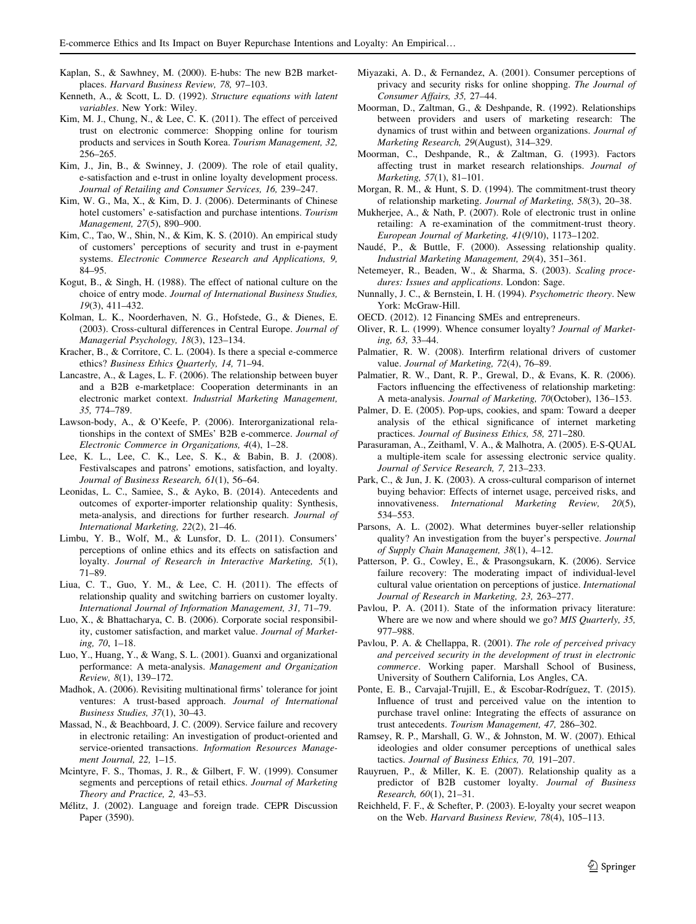- <span id="page-20-0"></span>Kaplan, S., & Sawhney, M. (2000). E-hubs: The new B2B marketplaces. Harvard Business Review, 78, 97–103.
- Kenneth, A., & Scott, L. D. (1992). Structure equations with latent variables. New York: Wiley.
- Kim, M. J., Chung, N., & Lee, C. K. (2011). The effect of perceived trust on electronic commerce: Shopping online for tourism products and services in South Korea. Tourism Management, 32, 256–265.
- Kim, J., Jin, B., & Swinney, J. (2009). The role of etail quality, e-satisfaction and e-trust in online loyalty development process. Journal of Retailing and Consumer Services, 16, 239–247.
- Kim, W. G., Ma, X., & Kim, D. J. (2006). Determinants of Chinese hotel customers' e-satisfaction and purchase intentions. Tourism Management, 27(5), 890–900.
- Kim, C., Tao, W., Shin, N., & Kim, K. S. (2010). An empirical study of customers' perceptions of security and trust in e-payment systems. Electronic Commerce Research and Applications, 9, 84–95.
- Kogut, B., & Singh, H. (1988). The effect of national culture on the choice of entry mode. Journal of International Business Studies, 19(3), 411–432.
- Kolman, L. K., Noorderhaven, N. G., Hofstede, G., & Dienes, E. (2003). Cross-cultural differences in Central Europe. Journal of Managerial Psychology, 18(3), 123–134.
- Kracher, B., & Corritore, C. L. (2004). Is there a special e-commerce ethics? Business Ethics Quarterly, 14, 71–94.
- Lancastre, A., & Lages, L. F. (2006). The relationship between buyer and a B2B e-marketplace: Cooperation determinants in an electronic market context. Industrial Marketing Management, 35, 774–789.
- Lawson-body, A., & O'Keefe, P. (2006). Interorganizational relationships in the context of SMEs' B2B e-commerce. Journal of Electronic Commerce in Organizations, 4(4), 1–28.
- Lee, K. L., Lee, C. K., Lee, S. K., & Babin, B. J. (2008). Festivalscapes and patrons' emotions, satisfaction, and loyalty. Journal of Business Research, 61(1), 56–64.
- Leonidas, L. C., Samiee, S., & Ayko, B. (2014). Antecedents and outcomes of exporter-importer relationship quality: Synthesis, meta-analysis, and directions for further research. Journal of International Marketing, 22(2), 21–46.
- Limbu, Y. B., Wolf, M., & Lunsfor, D. L. (2011). Consumers' perceptions of online ethics and its effects on satisfaction and loyalty. Journal of Research in Interactive Marketing, 5(1), 71–89.
- Liua, C. T., Guo, Y. M., & Lee, C. H. (2011). The effects of relationship quality and switching barriers on customer loyalty. International Journal of Information Management, 31, 71–79.
- Luo, X., & Bhattacharya, C. B. (2006). Corporate social responsibility, customer satisfaction, and market value. Journal of Marketing, 70, 1–18.
- Luo, Y., Huang, Y., & Wang, S. L. (2001). Guanxi and organizational performance: A meta-analysis. Management and Organization Review, 8(1), 139–172.
- Madhok, A. (2006). Revisiting multinational firms' tolerance for joint ventures: A trust-based approach. Journal of International Business Studies, 37(1), 30–43.
- Massad, N., & Beachboard, J. C. (2009). Service failure and recovery in electronic retailing: An investigation of product-oriented and service-oriented transactions. Information Resources Management Journal, 22, 1–15.
- Mcintyre, F. S., Thomas, J. R., & Gilbert, F. W. (1999). Consumer segments and perceptions of retail ethics. Journal of Marketing Theory and Practice, 2, 43–53.
- Mélitz, J. (2002). Language and foreign trade. CEPR Discussion Paper (3590).
- Miyazaki, A. D., & Fernandez, A. (2001). Consumer perceptions of privacy and security risks for online shopping. The Journal of Consumer Affairs, 35, 27–44.
- Moorman, D., Zaltman, G., & Deshpande, R. (1992). Relationships between providers and users of marketing research: The dynamics of trust within and between organizations. Journal of Marketing Research, 29(August), 314–329.
- Moorman, C., Deshpande, R., & Zaltman, G. (1993). Factors affecting trust in market research relationships. Journal of Marketing, 57(1), 81–101.
- Morgan, R. M., & Hunt, S. D. (1994). The commitment-trust theory of relationship marketing. Journal of Marketing, 58(3), 20–38.
- Mukherjee, A., & Nath, P. (2007). Role of electronic trust in online retailing: A re-examination of the commitment-trust theory. European Journal of Marketing, 41(9/10), 1173–1202.
- Naudé, P., & Buttle, F. (2000). Assessing relationship quality. Industrial Marketing Management, 29(4), 351–361.
- Netemeyer, R., Beaden, W., & Sharma, S. (2003). Scaling procedures: Issues and applications. London: Sage.
- Nunnally, J. C., & Bernstein, I. H. (1994). Psychometric theory. New York: McGraw-Hill.
- OECD. (2012). 12 Financing SMEs and entrepreneurs.
- Oliver, R. L. (1999). Whence consumer loyalty? Journal of Marketing, 63, 33–44.
- Palmatier, R. W. (2008). Interfirm relational drivers of customer value. Journal of Marketing, 72(4), 76-89.
- Palmatier, R. W., Dant, R. P., Grewal, D., & Evans, K. R. (2006). Factors influencing the effectiveness of relationship marketing: A meta-analysis. Journal of Marketing, 70(October), 136–153.
- Palmer, D. E. (2005). Pop-ups, cookies, and spam: Toward a deeper analysis of the ethical significance of internet marketing practices. Journal of Business Ethics, 58, 271–280.
- Parasuraman, A., Zeithaml, V. A., & Malhotra, A. (2005). E-S-QUAL a multiple-item scale for assessing electronic service quality. Journal of Service Research, 7, 213–233.
- Park, C., & Jun, J. K. (2003). A cross-cultural comparison of internet buying behavior: Effects of internet usage, perceived risks, and innovativeness. International Marketing Review, 20(5), 534–553.
- Parsons, A. L. (2002). What determines buyer-seller relationship quality? An investigation from the buyer's perspective. Journal of Supply Chain Management, 38(1), 4–12.
- Patterson, P. G., Cowley, E., & Prasongsukarn, K. (2006). Service failure recovery: The moderating impact of individual-level cultural value orientation on perceptions of justice. International Journal of Research in Marketing, 23, 263–277.
- Pavlou, P. A. (2011). State of the information privacy literature: Where are we now and where should we go? MIS Quarterly, 35, 977–988.
- Pavlou, P. A. & Chellappa, R. (2001). The role of perceived privacy and perceived security in the development of trust in electronic commerce. Working paper. Marshall School of Business, University of Southern California, Los Angles, CA.
- Ponte, E. B., Carvajal-Trujill, E., & Escobar-Rodríguez, T. (2015). Influence of trust and perceived value on the intention to purchase travel online: Integrating the effects of assurance on trust antecedents. Tourism Management, 47, 286–302.
- Ramsey, R. P., Marshall, G. W., & Johnston, M. W. (2007). Ethical ideologies and older consumer perceptions of unethical sales tactics. Journal of Business Ethics, 70, 191–207.
- Rauyruen, P., & Miller, K. E. (2007). Relationship quality as a predictor of B2B customer loyalty. Journal of Business Research, 60(1), 21–31.
- Reichheld, F. F., & Schefter, P. (2003). E-loyalty your secret weapon on the Web. Harvard Business Review, 78(4), 105–113.